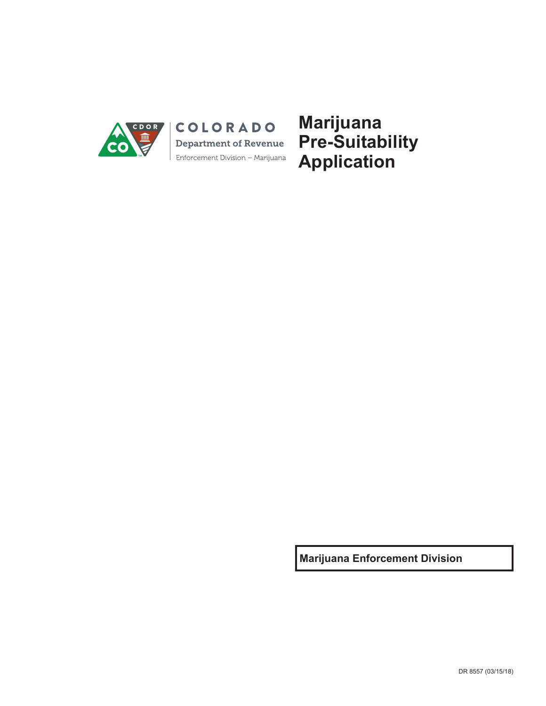

COLORADO **Department of Revenue** Enforcement Division - Marijuana **Marijuana Pre-Suitability Application**

**Marijuana Enforcement Division**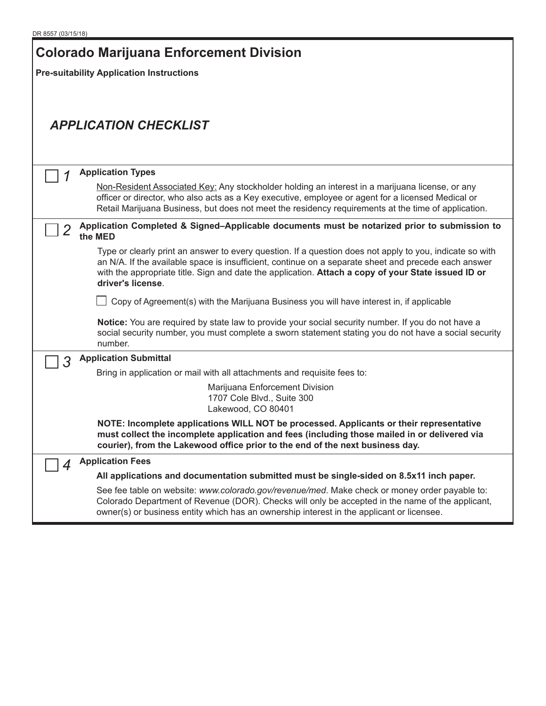| <b>Colorado Marijuana Enforcement Division</b>                                                               |                                                                                                                                                                                                                                                                                                                                              |  |  |  |  |  |  |  |  |
|--------------------------------------------------------------------------------------------------------------|----------------------------------------------------------------------------------------------------------------------------------------------------------------------------------------------------------------------------------------------------------------------------------------------------------------------------------------------|--|--|--|--|--|--|--|--|
|                                                                                                              | <b>Pre-suitability Application Instructions</b>                                                                                                                                                                                                                                                                                              |  |  |  |  |  |  |  |  |
|                                                                                                              |                                                                                                                                                                                                                                                                                                                                              |  |  |  |  |  |  |  |  |
|                                                                                                              |                                                                                                                                                                                                                                                                                                                                              |  |  |  |  |  |  |  |  |
|                                                                                                              | <b>APPLICATION CHECKLIST</b>                                                                                                                                                                                                                                                                                                                 |  |  |  |  |  |  |  |  |
|                                                                                                              |                                                                                                                                                                                                                                                                                                                                              |  |  |  |  |  |  |  |  |
|                                                                                                              |                                                                                                                                                                                                                                                                                                                                              |  |  |  |  |  |  |  |  |
|                                                                                                              | <b>Application Types</b>                                                                                                                                                                                                                                                                                                                     |  |  |  |  |  |  |  |  |
|                                                                                                              | Non-Resident Associated Key: Any stockholder holding an interest in a marijuana license, or any<br>officer or director, who also acts as a Key executive, employee or agent for a licensed Medical or<br>Retail Marijuana Business, but does not meet the residency requirements at the time of application.                                 |  |  |  |  |  |  |  |  |
| Application Completed & Signed-Applicable documents must be notarized prior to submission to<br>2<br>the MED |                                                                                                                                                                                                                                                                                                                                              |  |  |  |  |  |  |  |  |
|                                                                                                              | Type or clearly print an answer to every question. If a question does not apply to you, indicate so with<br>an N/A. If the available space is insufficient, continue on a separate sheet and precede each answer<br>with the appropriate title. Sign and date the application. Attach a copy of your State issued ID or<br>driver's license. |  |  |  |  |  |  |  |  |
|                                                                                                              | $\Box$ Copy of Agreement(s) with the Marijuana Business you will have interest in, if applicable                                                                                                                                                                                                                                             |  |  |  |  |  |  |  |  |
|                                                                                                              | Notice: You are required by state law to provide your social security number. If you do not have a<br>social security number, you must complete a sworn statement stating you do not have a social security<br>number.                                                                                                                       |  |  |  |  |  |  |  |  |
| 3                                                                                                            | <b>Application Submittal</b>                                                                                                                                                                                                                                                                                                                 |  |  |  |  |  |  |  |  |
|                                                                                                              | Bring in application or mail with all attachments and requisite fees to:                                                                                                                                                                                                                                                                     |  |  |  |  |  |  |  |  |
|                                                                                                              | Marijuana Enforcement Division<br>1707 Cole Blvd., Suite 300<br>Lakewood, CO 80401                                                                                                                                                                                                                                                           |  |  |  |  |  |  |  |  |
|                                                                                                              | NOTE: Incomplete applications WILL NOT be processed. Applicants or their representative<br>must collect the incomplete application and fees (including those mailed in or delivered via<br>courier), from the Lakewood office prior to the end of the next business day.                                                                     |  |  |  |  |  |  |  |  |
| 4                                                                                                            | <b>Application Fees</b>                                                                                                                                                                                                                                                                                                                      |  |  |  |  |  |  |  |  |
|                                                                                                              | All applications and documentation submitted must be single-sided on 8.5x11 inch paper.                                                                                                                                                                                                                                                      |  |  |  |  |  |  |  |  |
|                                                                                                              | See fee table on website: www.colorado.gov/revenue/med. Make check or money order payable to:<br>Colorado Department of Revenue (DOR). Checks will only be accepted in the name of the applicant,<br>owner(s) or business entity which has an ownership interest in the applicant or licensee.                                               |  |  |  |  |  |  |  |  |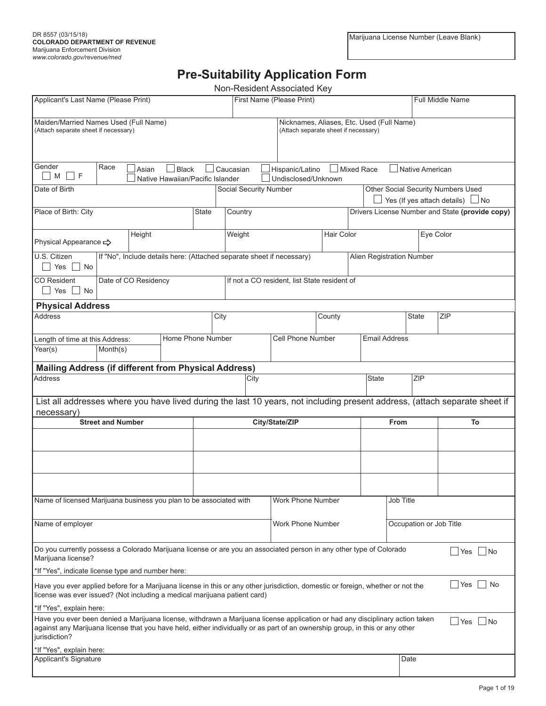## **Pre-Suitability Application Form**

|                                                                                                                                                                                                                                                                                |                                                                                                                                                                    |                      |                                                  |       |                        |      | Non-Resident Associated Key                                           |                         |  |                           |                         |                 |                                                                                                                            |
|--------------------------------------------------------------------------------------------------------------------------------------------------------------------------------------------------------------------------------------------------------------------------------|--------------------------------------------------------------------------------------------------------------------------------------------------------------------|----------------------|--------------------------------------------------|-------|------------------------|------|-----------------------------------------------------------------------|-------------------------|--|---------------------------|-------------------------|-----------------|----------------------------------------------------------------------------------------------------------------------------|
| Applicant's Last Name (Please Print)                                                                                                                                                                                                                                           |                                                                                                                                                                    |                      |                                                  |       |                        |      | First Name (Please Print)                                             |                         |  |                           | <b>Full Middle Name</b> |                 |                                                                                                                            |
|                                                                                                                                                                                                                                                                                | Maiden/Married Names Used (Full Name)<br>Nicknames, Aliases, Etc. Used (Full Name)<br>(Attach separate sheet if necessary)<br>(Attach separate sheet if necessary) |                      |                                                  |       |                        |      |                                                                       |                         |  |                           |                         |                 |                                                                                                                            |
| Gender<br>M<br>F                                                                                                                                                                                                                                                               | Race                                                                                                                                                               | Asian                | $\Box$ Black<br>Native Hawaiian/Pacific Islander |       | $\Box$ Caucasian       |      | Hispanic/Latino<br>Undisclosed/Unknown                                | Mixed Race              |  |                           |                         | Native American |                                                                                                                            |
| Date of Birth                                                                                                                                                                                                                                                                  |                                                                                                                                                                    |                      |                                                  |       | Social Security Number |      |                                                                       |                         |  |                           |                         |                 | Other Social Security Numbers Used<br>Yes (If yes attach details) $\Box$ No                                                |
| Place of Birth: City                                                                                                                                                                                                                                                           |                                                                                                                                                                    |                      |                                                  | State | Country                |      |                                                                       |                         |  |                           |                         |                 | Drivers License Number and State (provide copy)                                                                            |
| Physical Appearance <>                                                                                                                                                                                                                                                         |                                                                                                                                                                    | Height               |                                                  |       | Weight                 |      |                                                                       | Hair Color              |  |                           |                         | Eye Color       |                                                                                                                            |
| U.S. Citizen<br>  No<br>Yes                                                                                                                                                                                                                                                    |                                                                                                                                                                    |                      |                                                  |       |                        |      | If "No", Include details here: (Attached separate sheet if necessary) |                         |  | Alien Registration Number |                         |                 |                                                                                                                            |
| <b>CO</b> Resident<br>Yes<br>  No                                                                                                                                                                                                                                              |                                                                                                                                                                    | Date of CO Residency |                                                  |       |                        |      | If not a CO resident, list State resident of                          |                         |  |                           |                         |                 |                                                                                                                            |
| <b>Physical Address</b>                                                                                                                                                                                                                                                        |                                                                                                                                                                    |                      |                                                  |       |                        |      |                                                                       |                         |  |                           |                         |                 |                                                                                                                            |
| <b>Address</b>                                                                                                                                                                                                                                                                 |                                                                                                                                                                    |                      |                                                  |       | City                   |      |                                                                       | County                  |  |                           | <b>State</b>            |                 | ZIP                                                                                                                        |
| Length of time at this Address:<br>Year(s)                                                                                                                                                                                                                                     | Month(s)                                                                                                                                                           |                      | Home Phone Number                                |       |                        |      | Cell Phone Number                                                     |                         |  | <b>Email Address</b>      |                         |                 |                                                                                                                            |
|                                                                                                                                                                                                                                                                                |                                                                                                                                                                    |                      |                                                  |       |                        |      |                                                                       |                         |  |                           |                         |                 |                                                                                                                            |
| <b>Mailing Address (if different from Physical Address)</b>                                                                                                                                                                                                                    |                                                                                                                                                                    |                      |                                                  |       |                        |      |                                                                       |                         |  |                           |                         |                 |                                                                                                                            |
| <b>Address</b>                                                                                                                                                                                                                                                                 |                                                                                                                                                                    |                      |                                                  |       |                        | City |                                                                       |                         |  | <b>State</b>              | <b>ZIP</b>              |                 |                                                                                                                            |
|                                                                                                                                                                                                                                                                                |                                                                                                                                                                    |                      |                                                  |       |                        |      |                                                                       |                         |  |                           |                         |                 | List all addresses where you have lived during the last 10 years, not including present address, (attach separate sheet if |
| necessary)                                                                                                                                                                                                                                                                     | <b>Street and Number</b>                                                                                                                                           |                      |                                                  |       |                        |      | City/State/ZIP                                                        |                         |  | <b>From</b>               |                         |                 | To                                                                                                                         |
|                                                                                                                                                                                                                                                                                |                                                                                                                                                                    |                      |                                                  |       |                        |      |                                                                       |                         |  |                           |                         |                 |                                                                                                                            |
|                                                                                                                                                                                                                                                                                |                                                                                                                                                                    |                      |                                                  |       |                        |      |                                                                       |                         |  |                           |                         |                 |                                                                                                                            |
|                                                                                                                                                                                                                                                                                |                                                                                                                                                                    |                      |                                                  |       |                        |      |                                                                       |                         |  |                           |                         |                 |                                                                                                                            |
| Name of licensed Marijuana business you plan to be associated with                                                                                                                                                                                                             |                                                                                                                                                                    |                      |                                                  |       |                        |      | Work Phone Number                                                     |                         |  |                           | Job Title               |                 |                                                                                                                            |
| Name of employer<br>Work Phone Number                                                                                                                                                                                                                                          |                                                                                                                                                                    |                      |                                                  |       |                        |      |                                                                       | Occupation or Job Title |  |                           |                         |                 |                                                                                                                            |
| Do you currently possess a Colorado Marijuana license or are you an associated person in any other type of Colorado<br>Marijuana license?                                                                                                                                      |                                                                                                                                                                    |                      |                                                  |       |                        |      |                                                                       |                         |  |                           |                         |                 | Yes    No                                                                                                                  |
| *If "Yes", indicate license type and number here:                                                                                                                                                                                                                              |                                                                                                                                                                    |                      |                                                  |       |                        |      |                                                                       |                         |  |                           |                         |                 |                                                                                                                            |
| $\Box$ Yes<br>No<br>Have you ever applied before for a Marijuana license in this or any other jurisdiction, domestic or foreign, whether or not the<br>license was ever issued? (Not including a medical marijuana patient card)                                               |                                                                                                                                                                    |                      |                                                  |       |                        |      |                                                                       |                         |  |                           |                         |                 |                                                                                                                            |
| *If "Yes", explain here:                                                                                                                                                                                                                                                       |                                                                                                                                                                    |                      |                                                  |       |                        |      |                                                                       |                         |  |                           |                         |                 |                                                                                                                            |
| Have you ever been denied a Marijuana license, withdrawn a Marijuana license application or had any disciplinary action taken<br>against any Marijuana license that you have held, either individually or as part of an ownership group, in this or any other<br>jurisdiction? |                                                                                                                                                                    |                      |                                                  |       |                        |      |                                                                       |                         |  |                           |                         |                 | $\Box$ Yes $\Box$ No                                                                                                       |
| *If "Yes", explain here:                                                                                                                                                                                                                                                       |                                                                                                                                                                    |                      |                                                  |       |                        |      |                                                                       |                         |  |                           |                         |                 |                                                                                                                            |
| <b>Applicant's Signature</b>                                                                                                                                                                                                                                                   |                                                                                                                                                                    |                      |                                                  |       |                        |      |                                                                       |                         |  |                           | Date                    |                 |                                                                                                                            |
|                                                                                                                                                                                                                                                                                |                                                                                                                                                                    |                      |                                                  |       |                        |      |                                                                       |                         |  |                           |                         |                 |                                                                                                                            |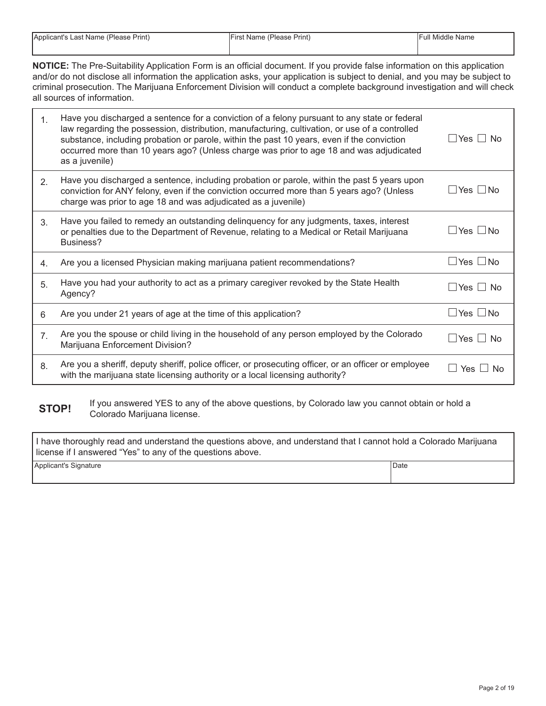| Applicant's Last Name (Please Print) | <sup>1</sup> First Name (Please Print) | <b>IFull Middle Name</b> |
|--------------------------------------|----------------------------------------|--------------------------|
|                                      |                                        |                          |

**NOTICE:** The Pre-Suitability Application Form is an official document. If you provide false information on this application and/or do not disclose all information the application asks, your application is subject to denial, and you may be subject to criminal prosecution. The Marijuana Enforcement Division will conduct a complete background investigation and will check all sources of information.

| $\mathbf{1}$ . | Have you discharged a sentence for a conviction of a felony pursuant to any state or federal<br>law regarding the possession, distribution, manufacturing, cultivation, or use of a controlled<br>substance, including probation or parole, within the past 10 years, even if the conviction<br>occurred more than 10 years ago? (Unless charge was prior to age 18 and was adjudicated<br>as a juvenile) | $\Box$ Yes $\Box$ No     |
|----------------|-----------------------------------------------------------------------------------------------------------------------------------------------------------------------------------------------------------------------------------------------------------------------------------------------------------------------------------------------------------------------------------------------------------|--------------------------|
| 2 <sub>1</sub> | Have you discharged a sentence, including probation or parole, within the past 5 years upon<br>conviction for ANY felony, even if the conviction occurred more than 5 years ago? (Unless<br>charge was prior to age 18 and was adjudicated as a juvenile)                                                                                                                                                 | _l Yes ∟No               |
| 3 <sub>l</sub> | Have you failed to remedy an outstanding delinquency for any judgments, taxes, interest<br>or penalties due to the Department of Revenue, relating to a Medical or Retail Marijuana<br>Business?                                                                                                                                                                                                          | $\Box$ Yes $\Box$ No     |
| 4.             | Are you a licensed Physician making marijuana patient recommendations?                                                                                                                                                                                                                                                                                                                                    | $\Box$ Yes $\Box$ No     |
| 5.             | Have you had your authority to act as a primary caregiver revoked by the State Health<br>Agency?                                                                                                                                                                                                                                                                                                          | $\Box$ Yes $\Box$ No     |
| 6              | Are you under 21 years of age at the time of this application?                                                                                                                                                                                                                                                                                                                                            | $\Box$ Yes $\Box$ No     |
| 7 <sub>1</sub> | Are you the spouse or child living in the household of any person employed by the Colorado<br>Marijuana Enforcement Division?                                                                                                                                                                                                                                                                             | $\sqcup$ Yes $\sqcup$ No |
| 8.             | Are you a sheriff, deputy sheriff, police officer, or prosecuting officer, or an officer or employee<br>with the marijuana state licensing authority or a local licensing authority?                                                                                                                                                                                                                      | Yes I<br>No.             |

**STOP!** If you answered YES to any of the above questions, by Colorado law you cannot obtain or hold a Colorado Marijuana license.

| I have thoroughly read and understand the questions above, and understand that I cannot hold a Colorado Marijuana<br>license if I answered "Yes" to any of the questions above. |        |  |  |  |
|---------------------------------------------------------------------------------------------------------------------------------------------------------------------------------|--------|--|--|--|
| Applicant's Signature                                                                                                                                                           | l Date |  |  |  |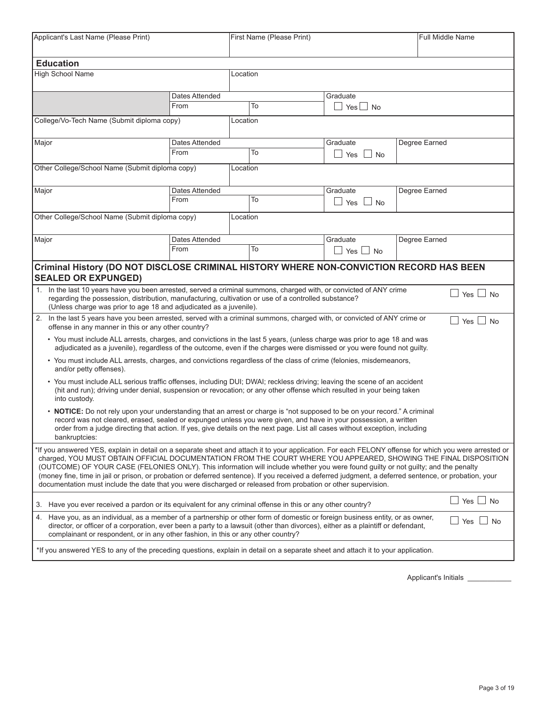| Applicant's Last Name (Please Print)                                                                                                                                                                                                                                                                                                                                                                                                                                                                                                                                                                                                                                                      |                                                                                                                                                                                                                                                                                                                                                                               |          | First Name (Please Print) | <b>Full Middle Name</b>                          |               |                               |  |
|-------------------------------------------------------------------------------------------------------------------------------------------------------------------------------------------------------------------------------------------------------------------------------------------------------------------------------------------------------------------------------------------------------------------------------------------------------------------------------------------------------------------------------------------------------------------------------------------------------------------------------------------------------------------------------------------|-------------------------------------------------------------------------------------------------------------------------------------------------------------------------------------------------------------------------------------------------------------------------------------------------------------------------------------------------------------------------------|----------|---------------------------|--------------------------------------------------|---------------|-------------------------------|--|
| <b>Education</b>                                                                                                                                                                                                                                                                                                                                                                                                                                                                                                                                                                                                                                                                          |                                                                                                                                                                                                                                                                                                                                                                               |          |                           |                                                  |               |                               |  |
| High School Name                                                                                                                                                                                                                                                                                                                                                                                                                                                                                                                                                                                                                                                                          |                                                                                                                                                                                                                                                                                                                                                                               | Location |                           |                                                  |               |                               |  |
|                                                                                                                                                                                                                                                                                                                                                                                                                                                                                                                                                                                                                                                                                           | Dates Attended                                                                                                                                                                                                                                                                                                                                                                |          |                           | Graduate                                         |               |                               |  |
|                                                                                                                                                                                                                                                                                                                                                                                                                                                                                                                                                                                                                                                                                           | From                                                                                                                                                                                                                                                                                                                                                                          |          | To                        | Yes l<br>$\blacksquare$<br><b>No</b>             |               |                               |  |
| College/Vo-Tech Name (Submit diploma copy)                                                                                                                                                                                                                                                                                                                                                                                                                                                                                                                                                                                                                                                |                                                                                                                                                                                                                                                                                                                                                                               | Location |                           |                                                  |               |                               |  |
| Major                                                                                                                                                                                                                                                                                                                                                                                                                                                                                                                                                                                                                                                                                     | Dates Attended                                                                                                                                                                                                                                                                                                                                                                |          |                           | Graduate                                         | Degree Earned |                               |  |
|                                                                                                                                                                                                                                                                                                                                                                                                                                                                                                                                                                                                                                                                                           | From                                                                                                                                                                                                                                                                                                                                                                          |          | To                        | $\Box$ Yes<br><b>No</b>                          |               |                               |  |
| Other College/School Name (Submit diploma copy)                                                                                                                                                                                                                                                                                                                                                                                                                                                                                                                                                                                                                                           |                                                                                                                                                                                                                                                                                                                                                                               | Location |                           |                                                  |               |                               |  |
| Major                                                                                                                                                                                                                                                                                                                                                                                                                                                                                                                                                                                                                                                                                     | Dates Attended                                                                                                                                                                                                                                                                                                                                                                |          |                           | Graduate                                         | Degree Earned |                               |  |
|                                                                                                                                                                                                                                                                                                                                                                                                                                                                                                                                                                                                                                                                                           | From                                                                                                                                                                                                                                                                                                                                                                          |          | To                        | $\Box$ Yes<br><b>No</b>                          |               |                               |  |
| Other College/School Name (Submit diploma copy)                                                                                                                                                                                                                                                                                                                                                                                                                                                                                                                                                                                                                                           |                                                                                                                                                                                                                                                                                                                                                                               | Location |                           |                                                  |               |                               |  |
|                                                                                                                                                                                                                                                                                                                                                                                                                                                                                                                                                                                                                                                                                           |                                                                                                                                                                                                                                                                                                                                                                               |          |                           |                                                  |               |                               |  |
| Major                                                                                                                                                                                                                                                                                                                                                                                                                                                                                                                                                                                                                                                                                     | Dates Attended                                                                                                                                                                                                                                                                                                                                                                |          |                           | Graduate                                         | Degree Earned |                               |  |
|                                                                                                                                                                                                                                                                                                                                                                                                                                                                                                                                                                                                                                                                                           | From                                                                                                                                                                                                                                                                                                                                                                          |          | To                        | $\Box$ Yes $\mathord{\text{\rm L}}$<br>$\Box$ No |               |                               |  |
|                                                                                                                                                                                                                                                                                                                                                                                                                                                                                                                                                                                                                                                                                           |                                                                                                                                                                                                                                                                                                                                                                               |          |                           |                                                  |               |                               |  |
| Criminal History (DO NOT DISCLOSE CRIMINAL HISTORY WHERE NON-CONVICTION RECORD HAS BEEN<br><b>SEALED OR EXPUNGED)</b>                                                                                                                                                                                                                                                                                                                                                                                                                                                                                                                                                                     |                                                                                                                                                                                                                                                                                                                                                                               |          |                           |                                                  |               |                               |  |
| In the last 10 years have you been arrested, served a criminal summons, charged with, or convicted of ANY crime<br>1.<br>regarding the possession, distribution, manufacturing, cultivation or use of a controlled substance?<br>(Unless charge was prior to age 18 and adjudicated as a juvenile).                                                                                                                                                                                                                                                                                                                                                                                       |                                                                                                                                                                                                                                                                                                                                                                               |          |                           |                                                  |               | Yes $\Box$ No                 |  |
| 2. In the last 5 years have you been arrested, served with a criminal summons, charged with, or convicted of ANY crime or<br>offense in any manner in this or any other country?                                                                                                                                                                                                                                                                                                                                                                                                                                                                                                          |                                                                                                                                                                                                                                                                                                                                                                               |          |                           |                                                  |               | Yes $\Box$ No<br>$\mathbf{I}$ |  |
| • You must include ALL arrests, charges, and convictions in the last 5 years, (unless charge was prior to age 18 and was<br>adjudicated as a juvenile), regardless of the outcome, even if the charges were dismissed or you were found not guilty.                                                                                                                                                                                                                                                                                                                                                                                                                                       |                                                                                                                                                                                                                                                                                                                                                                               |          |                           |                                                  |               |                               |  |
| • You must include ALL arrests, charges, and convictions regardless of the class of crime (felonies, misdemeanors,<br>and/or petty offenses).                                                                                                                                                                                                                                                                                                                                                                                                                                                                                                                                             |                                                                                                                                                                                                                                                                                                                                                                               |          |                           |                                                  |               |                               |  |
| • You must include ALL serious traffic offenses, including DUI; DWAI; reckless driving; leaving the scene of an accident<br>(hit and run); driving under denial, suspension or revocation; or any other offense which resulted in your being taken<br>into custody.                                                                                                                                                                                                                                                                                                                                                                                                                       |                                                                                                                                                                                                                                                                                                                                                                               |          |                           |                                                  |               |                               |  |
| bankruptcies:                                                                                                                                                                                                                                                                                                                                                                                                                                                                                                                                                                                                                                                                             | • NOTICE: Do not rely upon your understanding that an arrest or charge is "not supposed to be on your record." A criminal<br>record was not cleared, erased, sealed or expunged unless you were given, and have in your possession, a written<br>order from a judge directing that action. If yes, give details on the next page. List all cases without exception, including |          |                           |                                                  |               |                               |  |
| *If you answered YES, explain in detail on a separate sheet and attach it to your application. For each FELONY offense for which you were arrested or<br>charged, YOU MUST OBTAIN OFFICIAL DOCUMENTATION FROM THE COURT WHERE YOU APPEARED, SHOWING THE FINAL DISPOSITION<br>(OUTCOME) OF YOUR CASE (FELONIES ONLY). This information will include whether you were found quilty or not quilty; and the penalty<br>(money fine, time in jail or prison, or probation or deferred sentence). If you received a deferred judgment, a deferred sentence, or probation, your<br>documentation must include the date that you were discharged or released from probation or other supervision. |                                                                                                                                                                                                                                                                                                                                                                               |          |                           |                                                  |               |                               |  |
| 3. Have you ever received a pardon or its equivalent for any criminal offense in this or any other country?                                                                                                                                                                                                                                                                                                                                                                                                                                                                                                                                                                               |                                                                                                                                                                                                                                                                                                                                                                               |          |                           |                                                  |               | Yes $\Box$ No                 |  |
| 4. Have you, as an individual, as a member of a partnership or other form of domestic or foreign business entity, or as owner,<br>Yes $\Box$ No<br>director, or officer of a corporation, ever been a party to a lawsuit (other than divorces), either as a plaintiff or defendant,<br>complainant or respondent, or in any other fashion, in this or any other country?                                                                                                                                                                                                                                                                                                                  |                                                                                                                                                                                                                                                                                                                                                                               |          |                           |                                                  |               |                               |  |
| *If you answered YES to any of the preceding questions, explain in detail on a separate sheet and attach it to your application.                                                                                                                                                                                                                                                                                                                                                                                                                                                                                                                                                          |                                                                                                                                                                                                                                                                                                                                                                               |          |                           |                                                  |               |                               |  |
|                                                                                                                                                                                                                                                                                                                                                                                                                                                                                                                                                                                                                                                                                           |                                                                                                                                                                                                                                                                                                                                                                               |          |                           |                                                  |               |                               |  |

Applicant's Initials \_\_\_\_\_\_\_\_\_\_\_\_\_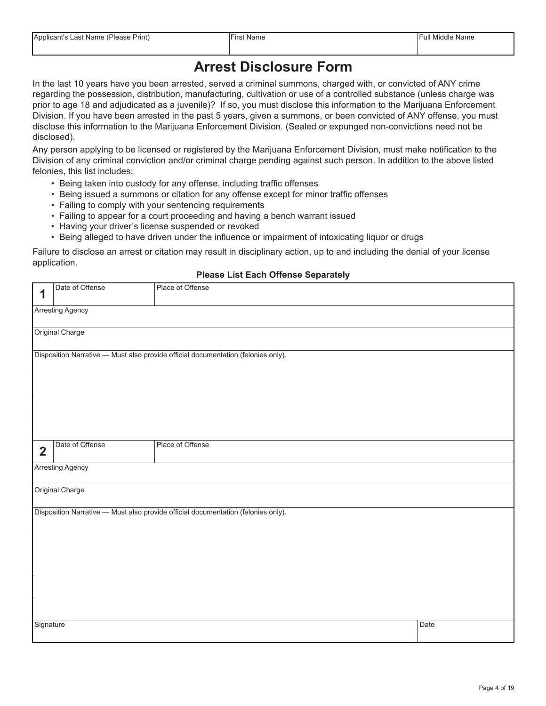### **Arrest Disclosure Form**

In the last 10 years have you been arrested, served a criminal summons, charged with, or convicted of ANY crime regarding the possession, distribution, manufacturing, cultivation or use of a controlled substance (unless charge was prior to age 18 and adjudicated as a juvenile)? If so, you must disclose this information to the Marijuana Enforcement Division. If you have been arrested in the past 5 years, given a summons, or been convicted of ANY offense, you must disclose this information to the Marijuana Enforcement Division. (Sealed or expunged non-convictions need not be disclosed).

Any person applying to be licensed or registered by the Marijuana Enforcement Division, must make notification to the Division of any criminal conviction and/or criminal charge pending against such person. In addition to the above listed felonies, this list includes:

- Being taken into custody for any offense, including traffic offenses
- Being issued a summons or citation for any offense except for minor traffic offenses
- Failing to comply with your sentencing requirements
- Failing to appear for a court proceeding and having a bench warrant issued
- Having your driver's license suspended or revoked
- Being alleged to have driven under the influence or impairment of intoxicating liquor or drugs

Failure to disclose an arrest or citation may result in disciplinary action, up to and including the denial of your license application.

#### **Please List Each Offense Separately**

|                | Date of Offense         | ╺<br>Place of Offense                                                             |      |
|----------------|-------------------------|-----------------------------------------------------------------------------------|------|
| 1              |                         |                                                                                   |      |
|                | <b>Arresting Agency</b> |                                                                                   |      |
|                |                         |                                                                                   |      |
|                | Original Charge         |                                                                                   |      |
|                |                         | Disposition Narrative - Must also provide official documentation (felonies only). |      |
|                |                         |                                                                                   |      |
|                |                         |                                                                                   |      |
|                |                         |                                                                                   |      |
|                |                         |                                                                                   |      |
|                |                         |                                                                                   |      |
|                |                         |                                                                                   |      |
| $\overline{2}$ | Date of Offense         | Place of Offense                                                                  |      |
|                |                         |                                                                                   |      |
|                | Arresting Agency        |                                                                                   |      |
|                |                         |                                                                                   |      |
|                | Original Charge         |                                                                                   |      |
|                |                         | Disposition Narrative - Must also provide official documentation (felonies only). |      |
|                |                         |                                                                                   |      |
|                |                         |                                                                                   |      |
|                |                         |                                                                                   |      |
|                |                         |                                                                                   |      |
|                |                         |                                                                                   |      |
|                |                         |                                                                                   |      |
|                |                         |                                                                                   |      |
|                |                         |                                                                                   |      |
| Signature      |                         |                                                                                   | Date |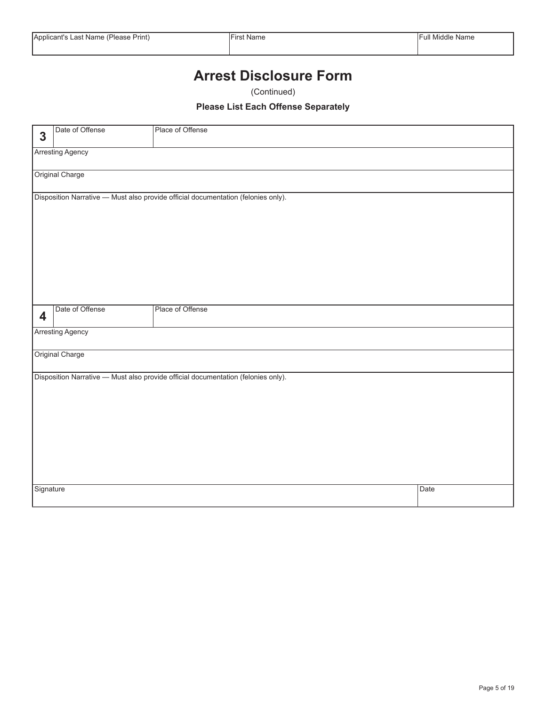### **Arrest Disclosure Form**

(Continued)

#### **Please List Each Offense Separately**

|              | Date of Offense         | Place of Offense                                                                  |      |  |  |  |  |  |  |
|--------------|-------------------------|-----------------------------------------------------------------------------------|------|--|--|--|--|--|--|
| $\mathbf{3}$ |                         |                                                                                   |      |  |  |  |  |  |  |
|              | <b>Arresting Agency</b> |                                                                                   |      |  |  |  |  |  |  |
|              | Original Charge         |                                                                                   |      |  |  |  |  |  |  |
|              |                         | Disposition Narrative - Must also provide official documentation (felonies only). |      |  |  |  |  |  |  |
|              |                         |                                                                                   |      |  |  |  |  |  |  |
|              |                         |                                                                                   |      |  |  |  |  |  |  |
|              |                         |                                                                                   |      |  |  |  |  |  |  |
|              |                         |                                                                                   |      |  |  |  |  |  |  |
|              |                         |                                                                                   |      |  |  |  |  |  |  |
|              |                         |                                                                                   |      |  |  |  |  |  |  |
|              |                         |                                                                                   |      |  |  |  |  |  |  |
| 4            | Date of Offense         | Place of Offense                                                                  |      |  |  |  |  |  |  |
|              | <b>Arresting Agency</b> |                                                                                   |      |  |  |  |  |  |  |
|              | Original Charge         |                                                                                   |      |  |  |  |  |  |  |
|              |                         | Disposition Narrative - Must also provide official documentation (felonies only). |      |  |  |  |  |  |  |
|              |                         |                                                                                   |      |  |  |  |  |  |  |
|              |                         |                                                                                   |      |  |  |  |  |  |  |
|              |                         |                                                                                   |      |  |  |  |  |  |  |
|              |                         |                                                                                   |      |  |  |  |  |  |  |
|              |                         |                                                                                   |      |  |  |  |  |  |  |
|              |                         |                                                                                   |      |  |  |  |  |  |  |
|              |                         |                                                                                   |      |  |  |  |  |  |  |
| Signature    |                         |                                                                                   | Date |  |  |  |  |  |  |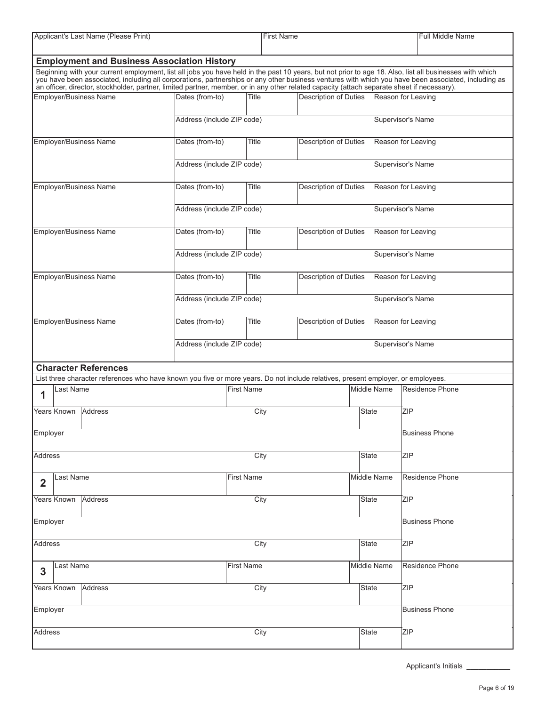| Applicant's Last Name (Please Print)                                                                                                                                                                                                                                                                                                                                                                                                                          |                            |                   | <b>First Name</b>    |                              |                       | <b>Full Middle Name</b> |  |
|---------------------------------------------------------------------------------------------------------------------------------------------------------------------------------------------------------------------------------------------------------------------------------------------------------------------------------------------------------------------------------------------------------------------------------------------------------------|----------------------------|-------------------|----------------------|------------------------------|-----------------------|-------------------------|--|
|                                                                                                                                                                                                                                                                                                                                                                                                                                                               |                            |                   |                      |                              |                       |                         |  |
| <b>Employment and Business Association History</b>                                                                                                                                                                                                                                                                                                                                                                                                            |                            |                   |                      |                              |                       |                         |  |
| Beginning with your current employment, list all jobs you have held in the past 10 years, but not prior to age 18. Also, list all businesses with which<br>you have been associated, including all corporations, partnerships or any other business ventures with which you have been associated, including as<br>an officer, director, stockholder, partner, limited partner, member, or in any other related capacity (attach separate sheet if necessary). |                            |                   |                      |                              |                       |                         |  |
| Employer/Business Name                                                                                                                                                                                                                                                                                                                                                                                                                                        | Dates (from-to)            | Title             |                      | <b>Description of Duties</b> |                       | Reason for Leaving      |  |
|                                                                                                                                                                                                                                                                                                                                                                                                                                                               | Address (include ZIP code) |                   |                      |                              |                       | Supervisor's Name       |  |
| Employer/Business Name                                                                                                                                                                                                                                                                                                                                                                                                                                        | Dates (from-to)            | Title             |                      | Description of Duties        |                       | Reason for Leaving      |  |
|                                                                                                                                                                                                                                                                                                                                                                                                                                                               | Address (include ZIP code) |                   |                      |                              |                       | Supervisor's Name       |  |
| Employer/Business Name                                                                                                                                                                                                                                                                                                                                                                                                                                        | Dates (from-to)            | Title             |                      | <b>Description of Duties</b> |                       | Reason for Leaving      |  |
|                                                                                                                                                                                                                                                                                                                                                                                                                                                               | Address (include ZIP code) |                   |                      |                              |                       | Supervisor's Name       |  |
| Employer/Business Name                                                                                                                                                                                                                                                                                                                                                                                                                                        | Dates (from-to)            | Title             |                      | <b>Description of Duties</b> |                       | Reason for Leaving      |  |
|                                                                                                                                                                                                                                                                                                                                                                                                                                                               | Address (include ZIP code) |                   |                      |                              |                       | Supervisor's Name       |  |
| <b>Employer/Business Name</b>                                                                                                                                                                                                                                                                                                                                                                                                                                 | Dates (from-to)            | Title             |                      | <b>Description of Duties</b> |                       | Reason for Leaving      |  |
|                                                                                                                                                                                                                                                                                                                                                                                                                                                               | Address (include ZIP code) |                   |                      |                              |                       | Supervisor's Name       |  |
| Employer/Business Name                                                                                                                                                                                                                                                                                                                                                                                                                                        | Dates (from-to)            | Title             |                      | Description of Duties        |                       | Reason for Leaving      |  |
|                                                                                                                                                                                                                                                                                                                                                                                                                                                               | Address (include ZIP code) |                   |                      |                              |                       | Supervisor's Name       |  |
| <b>Character References</b>                                                                                                                                                                                                                                                                                                                                                                                                                                   |                            |                   |                      |                              |                       |                         |  |
| List three character references who have known you five or more years. Do not include relatives, present employer, or employees.                                                                                                                                                                                                                                                                                                                              |                            |                   |                      |                              |                       |                         |  |
| Last Name<br>1                                                                                                                                                                                                                                                                                                                                                                                                                                                |                            | First Name        |                      |                              | Middle Name           | Residence Phone         |  |
| Years Known<br>Address                                                                                                                                                                                                                                                                                                                                                                                                                                        |                            |                   | City<br><b>State</b> |                              |                       | <b>ZIP</b>              |  |
| Employer                                                                                                                                                                                                                                                                                                                                                                                                                                                      |                            |                   |                      |                              |                       | <b>Business Phone</b>   |  |
| Address                                                                                                                                                                                                                                                                                                                                                                                                                                                       |                            |                   | City                 |                              | <b>State</b>          | <b>ZIP</b>              |  |
| Last Name<br>$\mathbf{2}$                                                                                                                                                                                                                                                                                                                                                                                                                                     |                            | <b>First Name</b> |                      |                              | Middle Name           | Residence Phone         |  |
| Address<br>Years Known                                                                                                                                                                                                                                                                                                                                                                                                                                        |                            | City              |                      |                              | <b>State</b>          | <b>ZIP</b>              |  |
| Employer                                                                                                                                                                                                                                                                                                                                                                                                                                                      |                            |                   |                      |                              | <b>Business Phone</b> |                         |  |
| Address                                                                                                                                                                                                                                                                                                                                                                                                                                                       |                            |                   | City                 |                              | <b>State</b>          | <b>ZIP</b>              |  |
| <b>First Name</b><br>Last Name<br>3                                                                                                                                                                                                                                                                                                                                                                                                                           |                            |                   |                      |                              | Middle Name           | Residence Phone         |  |
| Years Known<br>Address                                                                                                                                                                                                                                                                                                                                                                                                                                        |                            | City              |                      |                              | <b>State</b>          | <b>ZIP</b>              |  |
| Employer                                                                                                                                                                                                                                                                                                                                                                                                                                                      |                            |                   |                      |                              |                       | <b>Business Phone</b>   |  |
| Address                                                                                                                                                                                                                                                                                                                                                                                                                                                       | City                       |                   |                      | State                        | <b>ZIP</b>            |                         |  |

Applicant's Initials \_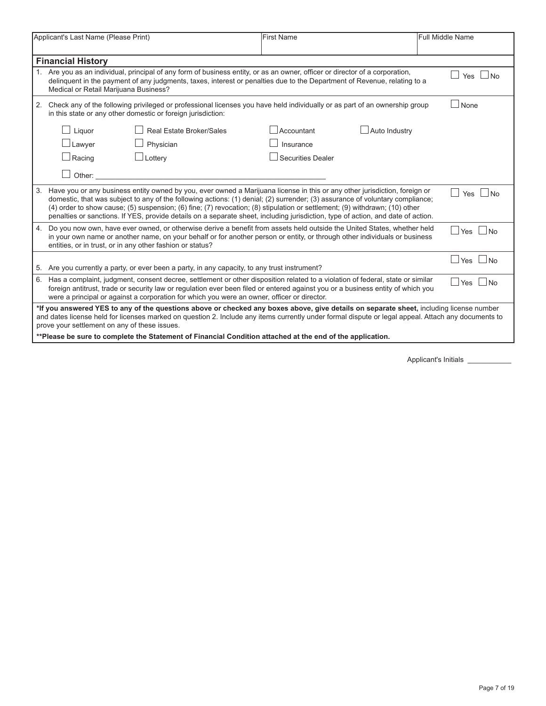|                                                                                                                                                                                                  | Applicant's Last Name (Please Print)                                                                                                                                                                                                                                                                                                                                                          |                                                                                                                                                                                                                                                                                                                                                                                                                                                                                                                                | <b>First Name</b>        |               | Full Middle Name          |  |  |  |
|--------------------------------------------------------------------------------------------------------------------------------------------------------------------------------------------------|-----------------------------------------------------------------------------------------------------------------------------------------------------------------------------------------------------------------------------------------------------------------------------------------------------------------------------------------------------------------------------------------------|--------------------------------------------------------------------------------------------------------------------------------------------------------------------------------------------------------------------------------------------------------------------------------------------------------------------------------------------------------------------------------------------------------------------------------------------------------------------------------------------------------------------------------|--------------------------|---------------|---------------------------|--|--|--|
|                                                                                                                                                                                                  | <b>Financial History</b>                                                                                                                                                                                                                                                                                                                                                                      |                                                                                                                                                                                                                                                                                                                                                                                                                                                                                                                                |                          |               |                           |  |  |  |
|                                                                                                                                                                                                  | Are you as an individual, principal of any form of business entity, or as an owner, officer or director of a corporation,<br>delinquent in the payment of any judgments, taxes, interest or penalties due to the Department of Revenue, relating to a<br>Medical or Retail Marijuana Business?                                                                                                |                                                                                                                                                                                                                                                                                                                                                                                                                                                                                                                                |                          |               |                           |  |  |  |
| Check any of the following privileged or professional licenses you have held individually or as part of an ownership group<br>2.<br>in this state or any other domestic or foreign jurisdiction: |                                                                                                                                                                                                                                                                                                                                                                                               |                                                                                                                                                                                                                                                                                                                                                                                                                                                                                                                                |                          |               |                           |  |  |  |
|                                                                                                                                                                                                  | Liquor                                                                                                                                                                                                                                                                                                                                                                                        | <b>Real Estate Broker/Sales</b>                                                                                                                                                                                                                                                                                                                                                                                                                                                                                                | $\Box$ Accountant        | Auto Industry |                           |  |  |  |
|                                                                                                                                                                                                  | $\perp$ Lawyer                                                                                                                                                                                                                                                                                                                                                                                | Physician                                                                                                                                                                                                                                                                                                                                                                                                                                                                                                                      | Insurance                |               |                           |  |  |  |
|                                                                                                                                                                                                  | $\Box$ Racing                                                                                                                                                                                                                                                                                                                                                                                 | $\Box$ Lottery                                                                                                                                                                                                                                                                                                                                                                                                                                                                                                                 | <b>Securities Dealer</b> |               |                           |  |  |  |
|                                                                                                                                                                                                  | Other:                                                                                                                                                                                                                                                                                                                                                                                        |                                                                                                                                                                                                                                                                                                                                                                                                                                                                                                                                |                          |               |                           |  |  |  |
| 3.                                                                                                                                                                                               |                                                                                                                                                                                                                                                                                                                                                                                               | Have you or any business entity owned by you, ever owned a Marijuana license in this or any other jurisdiction, foreign or<br>domestic, that was subject to any of the following actions: (1) denial; (2) surrender; (3) assurance of voluntary compliance;<br>(4) order to show cause; (5) suspension; (6) fine; (7) revocation; (8) stipulation or settlement; (9) withdrawn; (10) other<br>penalties or sanctions. If YES, provide details on a separate sheet, including jurisdiction, type of action, and date of action. |                          |               | ∣No<br>Yes                |  |  |  |
| 4.                                                                                                                                                                                               |                                                                                                                                                                                                                                                                                                                                                                                               | Do you now own, have ever owned, or otherwise derive a benefit from assets held outside the United States, whether held<br>in your own name or another name, on your behalf or for another person or entity, or through other individuals or business<br>entities, or in trust, or in any other fashion or status?                                                                                                                                                                                                             |                          |               | Yes<br>$\vert$ $\vert$ No |  |  |  |
|                                                                                                                                                                                                  | $\vert$ $\vert$ No<br><b>Yes</b><br>5. Are you currently a party, or ever been a party, in any capacity, to any trust instrument?                                                                                                                                                                                                                                                             |                                                                                                                                                                                                                                                                                                                                                                                                                                                                                                                                |                          |               |                           |  |  |  |
| 6.                                                                                                                                                                                               | Has a complaint, judgment, consent decree, settlement or other disposition related to a violation of federal, state or similar<br>Yes<br>$\vert$ $\vert$ No<br>foreign antitrust, trade or security law or regulation ever been filed or entered against you or a business entity of which you<br>were a principal or against a corporation for which you were an owner, officer or director. |                                                                                                                                                                                                                                                                                                                                                                                                                                                                                                                                |                          |               |                           |  |  |  |
|                                                                                                                                                                                                  | *If you answered YES to any of the questions above or checked any boxes above, give details on separate sheet, including license number<br>and dates license held for licenses marked on question 2. Include any items currently under formal dispute or legal appeal. Attach any documents to<br>prove your settlement on any of these issues.                                               |                                                                                                                                                                                                                                                                                                                                                                                                                                                                                                                                |                          |               |                           |  |  |  |
|                                                                                                                                                                                                  |                                                                                                                                                                                                                                                                                                                                                                                               | **Please be sure to complete the Statement of Financial Condition attached at the end of the application.                                                                                                                                                                                                                                                                                                                                                                                                                      |                          |               |                           |  |  |  |

Applicant's Initials \_\_\_\_\_\_\_\_\_\_\_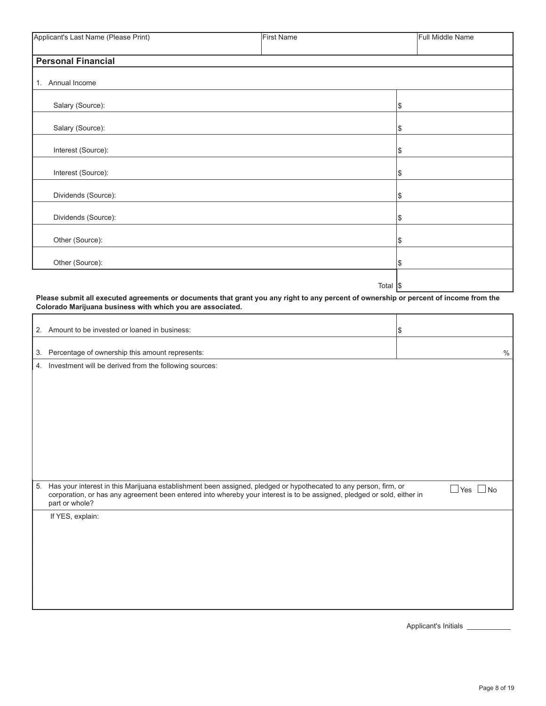| Applicant's Last Name (Please Print) | <b>First Name</b> |                   | Full Middle Name |
|--------------------------------------|-------------------|-------------------|------------------|
| <b>Personal Financial</b>            |                   |                   |                  |
| 1. Annual Income                     |                   |                   |                  |
| Salary (Source):                     |                   | 1\$               |                  |
| Salary (Source):                     |                   | Ι\$               |                  |
| Interest (Source):                   |                   | Ι\$               |                  |
| Interest (Source):                   |                   | Ι\$               |                  |
| Dividends (Source):                  |                   | 1\$               |                  |
| Dividends (Source):                  |                   | Ι\$               |                  |
| Other (Source):                      |                   | l\$               |                  |
| Other (Source):                      |                   | 1\$               |                  |
|                                      |                   | Total $\sqrt{\$}$ |                  |

**Please submit all executed agreements or documents that grant you any right to any percent of ownership or percent of income from the Colorado Marijuana business with which you are associated.**

|    | 2. Amount to be invested or loaned in business:                                                                                                                                                                                                               | l\$                  |
|----|---------------------------------------------------------------------------------------------------------------------------------------------------------------------------------------------------------------------------------------------------------------|----------------------|
|    | 3. Percentage of ownership this amount represents:                                                                                                                                                                                                            | $\%$                 |
|    | Investment will be derived from the following sources:<br>4.                                                                                                                                                                                                  |                      |
|    |                                                                                                                                                                                                                                                               |                      |
|    |                                                                                                                                                                                                                                                               |                      |
|    |                                                                                                                                                                                                                                                               |                      |
|    |                                                                                                                                                                                                                                                               |                      |
|    |                                                                                                                                                                                                                                                               |                      |
| 5. | Has your interest in this Marijuana establishment been assigned, pledged or hypothecated to any person, firm, or<br>corporation, or has any agreement been entered into whereby your interest is to be assigned, pledged or sold, either in<br>part or whole? | $\Box$ Yes $\Box$ No |
|    | If YES, explain:                                                                                                                                                                                                                                              |                      |
|    |                                                                                                                                                                                                                                                               |                      |
|    |                                                                                                                                                                                                                                                               |                      |
|    |                                                                                                                                                                                                                                                               |                      |
|    |                                                                                                                                                                                                                                                               |                      |

Applicant's Initials \_\_\_\_\_\_\_\_\_\_\_\_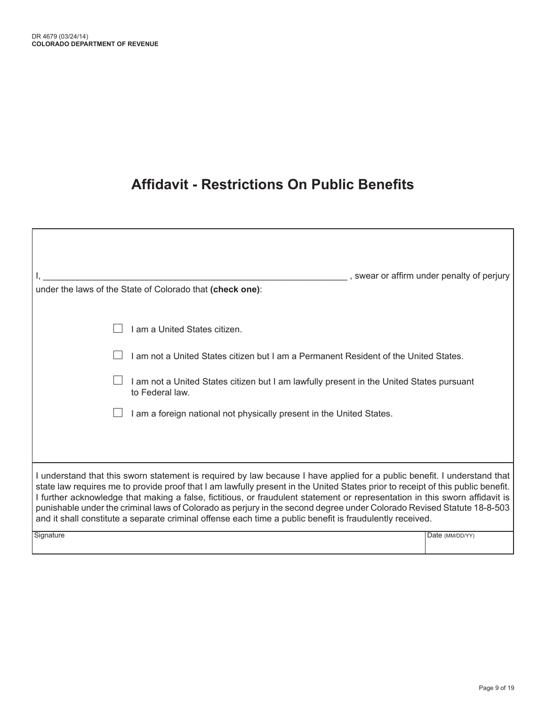# **Affidavit - Restrictions On Public Benefits**

| under the laws of the State of Colorado that (check one):                                                                                                                                                                                                                                                                                                                                                                                                                                                                                                                                                                        | swear or affirm under penalty of perjury |
|----------------------------------------------------------------------------------------------------------------------------------------------------------------------------------------------------------------------------------------------------------------------------------------------------------------------------------------------------------------------------------------------------------------------------------------------------------------------------------------------------------------------------------------------------------------------------------------------------------------------------------|------------------------------------------|
| I am a United States citizen.                                                                                                                                                                                                                                                                                                                                                                                                                                                                                                                                                                                                    |                                          |
| I am not a United States citizen but I am a Permanent Resident of the United States.                                                                                                                                                                                                                                                                                                                                                                                                                                                                                                                                             |                                          |
| I am not a United States citizen but I am lawfully present in the United States pursuant<br>to Federal law.                                                                                                                                                                                                                                                                                                                                                                                                                                                                                                                      |                                          |
| I am a foreign national not physically present in the United States.                                                                                                                                                                                                                                                                                                                                                                                                                                                                                                                                                             |                                          |
|                                                                                                                                                                                                                                                                                                                                                                                                                                                                                                                                                                                                                                  |                                          |
| I understand that this sworn statement is required by law because I have applied for a public benefit. I understand that<br>state law requires me to provide proof that I am lawfully present in the United States prior to receipt of this public benefit.<br>I further acknowledge that making a false, fictitious, or fraudulent statement or representation in this sworn affidavit is<br>punishable under the criminal laws of Colorado as perjury in the second degree under Colorado Revised Statute 18-8-503<br>and it shall constitute a separate criminal offense each time a public benefit is fraudulently received. |                                          |
| Signature                                                                                                                                                                                                                                                                                                                                                                                                                                                                                                                                                                                                                        | Date (MM/DD/YY)                          |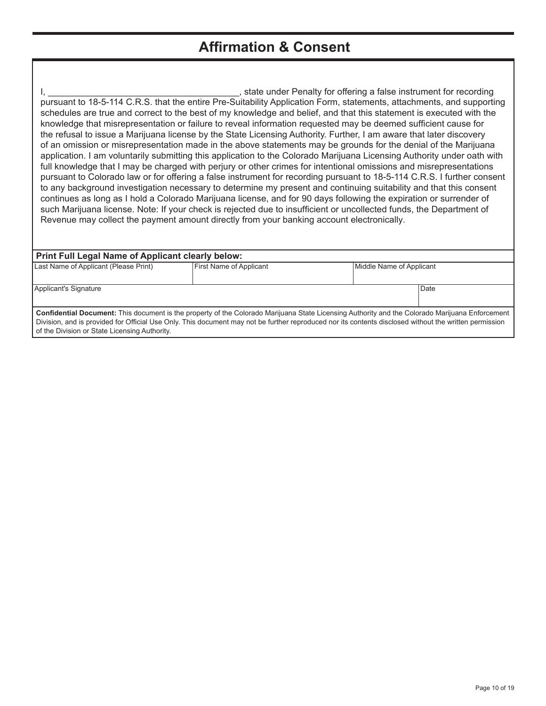### **Affirmation & Consent**

I, \_\_\_\_\_\_\_\_\_\_\_\_\_\_\_\_\_\_\_\_\_\_\_\_\_\_\_\_\_\_\_\_\_\_\_\_\_\_\_, state under Penalty for offering a false instrument for recording pursuant to 18-5-114 C.R.S. that the entire Pre-Suitability Application Form, statements, attachments, and supporting schedules are true and correct to the best of my knowledge and belief, and that this statement is executed with the knowledge that misrepresentation or failure to reveal information requested may be deemed sufficient cause for the refusal to issue a Marijuana license by the State Licensing Authority. Further, I am aware that later discovery of an omission or misrepresentation made in the above statements may be grounds for the denial of the Marijuana application. I am voluntarily submitting this application to the Colorado Marijuana Licensing Authority under oath with full knowledge that I may be charged with perjury or other crimes for intentional omissions and misrepresentations pursuant to Colorado law or for offering a false instrument for recording pursuant to 18-5-114 C.R.S. I further consent to any background investigation necessary to determine my present and continuing suitability and that this consent continues as long as I hold a Colorado Marijuana license, and for 90 days following the expiration or surrender of such Marijuana license. Note: If your check is rejected due to insufficient or uncollected funds, the Department of Revenue may collect the payment amount directly from your banking account electronically.

| <b>Print Full Legal Name of Applicant clearly below:</b> |                                                                                                                                                        |                          |  |  |  |  |  |
|----------------------------------------------------------|--------------------------------------------------------------------------------------------------------------------------------------------------------|--------------------------|--|--|--|--|--|
| Last Name of Applicant (Please Print)                    | First Name of Applicant                                                                                                                                | Middle Name of Applicant |  |  |  |  |  |
|                                                          |                                                                                                                                                        |                          |  |  |  |  |  |
| Applicant's Signature                                    |                                                                                                                                                        | Date                     |  |  |  |  |  |
|                                                          |                                                                                                                                                        |                          |  |  |  |  |  |
|                                                          | Confidential Document: This document is the property of the Colorado Marijuana State Licensing Authority and the Colorado Marijuana Enforcement        |                          |  |  |  |  |  |
|                                                          | Division, and is provided for Official Use Only. This document may not be further reproduced nor its contents disclosed without the written permission |                          |  |  |  |  |  |
| of the Division or State Licensing Authority.            |                                                                                                                                                        |                          |  |  |  |  |  |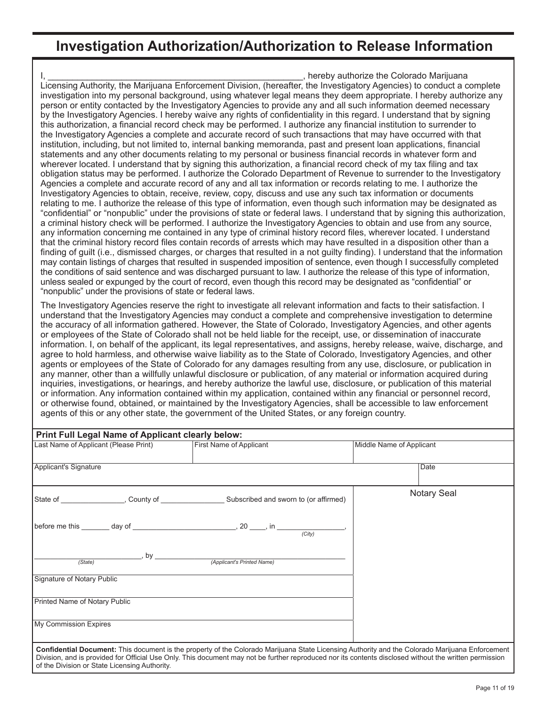### **Investigation Authorization/Authorization to Release Information**

, hereby authorize the Colorado Marijuana Licensing Authority, the Marijuana Enforcement Division, (hereafter, the Investigatory Agencies) to conduct a complete investigation into my personal background, using whatever legal means they deem appropriate. I hereby authorize any person or entity contacted by the Investigatory Agencies to provide any and all such information deemed necessary by the Investigatory Agencies. I hereby waive any rights of confidentiality in this regard. I understand that by signing this authorization, a financial record check may be performed. I authorize any financial institution to surrender to the Investigatory Agencies a complete and accurate record of such transactions that may have occurred with that institution, including, but not limited to, internal banking memoranda, past and present loan applications, financial statements and any other documents relating to my personal or business financial records in whatever form and wherever located. I understand that by signing this authorization, a financial record check of my tax filing and tax obligation status may be performed. I authorize the Colorado Department of Revenue to surrender to the Investigatory Agencies a complete and accurate record of any and all tax information or records relating to me. I authorize the Investigatory Agencies to obtain, receive, review, copy, discuss and use any such tax information or documents relating to me. I authorize the release of this type of information, even though such information may be designated as "confidential" or "nonpublic" under the provisions of state or federal laws. I understand that by signing this authorization, a criminal history check will be performed. I authorize the Investigatory Agencies to obtain and use from any source, any information concerning me contained in any type of criminal history record files, wherever located. I understand that the criminal history record files contain records of arrests which may have resulted in a disposition other than a finding of guilt (i.e., dismissed charges, or charges that resulted in a not guilty finding). I understand that the information may contain listings of charges that resulted in suspended imposition of sentence, even though I successfully completed the conditions of said sentence and was discharged pursuant to law. I authorize the release of this type of information, unless sealed or expunged by the court of record, even though this record may be designated as "confidential" or "nonpublic" under the provisions of state or federal laws.

The Investigatory Agencies reserve the right to investigate all relevant information and facts to their satisfaction. I understand that the Investigatory Agencies may conduct a complete and comprehensive investigation to determine the accuracy of all information gathered. However, the State of Colorado, Investigatory Agencies, and other agents or employees of the State of Colorado shall not be held liable for the receipt, use, or dissemination of inaccurate information. I, on behalf of the applicant, its legal representatives, and assigns, hereby release, waive, discharge, and agree to hold harmless, and otherwise waive liability as to the State of Colorado, Investigatory Agencies, and other agents or employees of the State of Colorado for any damages resulting from any use, disclosure, or publication in any manner, other than a willfully unlawful disclosure or publication, of any material or information acquired during inquiries, investigations, or hearings, and hereby authorize the lawful use, disclosure, or publication of this material or information. Any information contained within my application, contained within any financial or personnel record, or otherwise found, obtained, or maintained by the Investigatory Agencies, shall be accessible to law enforcement agents of this or any other state, the government of the United States, or any foreign country.

| Print Full Legal Name of Applicant clearly below: |  |                                                                                                                                                                                                                                                                                                                  |                          |  |  |  |
|---------------------------------------------------|--|------------------------------------------------------------------------------------------------------------------------------------------------------------------------------------------------------------------------------------------------------------------------------------------------------------------|--------------------------|--|--|--|
| Last Name of Applicant (Please Print)             |  | <b>First Name of Applicant</b>                                                                                                                                                                                                                                                                                   | Middle Name of Applicant |  |  |  |
| Applicant's Signature                             |  |                                                                                                                                                                                                                                                                                                                  | Date                     |  |  |  |
|                                                   |  |                                                                                                                                                                                                                                                                                                                  | <b>Notary Seal</b>       |  |  |  |
|                                                   |  | before me this $\_\_\_\_$ day of $\_\_\_\_\_$ , 20 $\_\_\_\_\$ , in $\_\_\_\_$ (City)                                                                                                                                                                                                                            |                          |  |  |  |
| (State)                                           |  | Applicant's Printed Name)                                                                                                                                                                                                                                                                                        |                          |  |  |  |
| Signature of Notary Public                        |  |                                                                                                                                                                                                                                                                                                                  |                          |  |  |  |
| Printed Name of Notary Public                     |  |                                                                                                                                                                                                                                                                                                                  |                          |  |  |  |
| My Commission Expires                             |  |                                                                                                                                                                                                                                                                                                                  |                          |  |  |  |
| of the Division or State Licensing Authority.     |  | <b>Confidential Document:</b> This document is the property of the Colorado Marijuana State Licensing Authority and the Colorado Marijuana Enforcement<br>Division, and is provided for Official Use Only. This document may not be further reproduced nor its contents disclosed without the written permission |                          |  |  |  |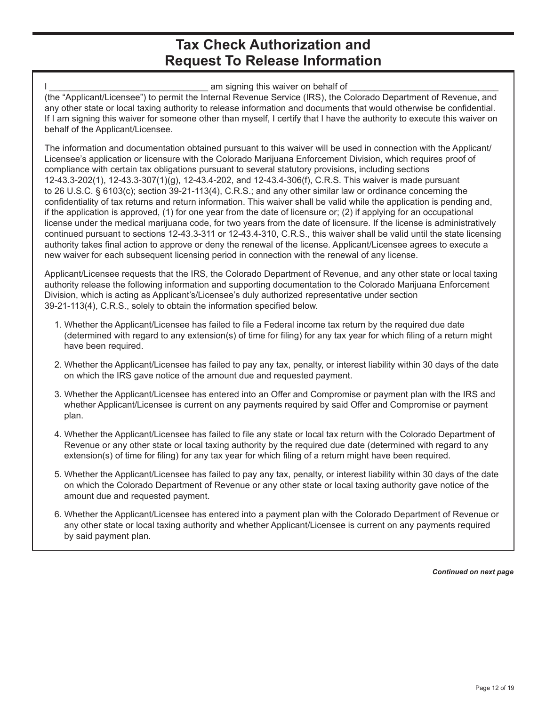#### **Tax Check Authorization and Request To Release Information**

am signing this waiver on behalf of (the "Applicant/Licensee") to permit the Internal Revenue Service (IRS), the Colorado Department of Revenue, and any other state or local taxing authority to release information and documents that would otherwise be confidential. If I am signing this waiver for someone other than myself, I certify that I have the authority to execute this waiver on behalf of the Applicant/Licensee.

The information and documentation obtained pursuant to this waiver will be used in connection with the Applicant/ Licensee's application or licensure with the Colorado Marijuana Enforcement Division, which requires proof of compliance with certain tax obligations pursuant to several statutory provisions, including sections 12-43.3-202(1), 12-43.3-307(1)(g), 12-43.4-202, and 12-43.4-306(f), C.R.S. This waiver is made pursuant to 26 U.S.C. § 6103(c); section 39-21-113(4), C.R.S.; and any other similar law or ordinance concerning the confidentiality of tax returns and return information. This waiver shall be valid while the application is pending and, if the application is approved, (1) for one year from the date of licensure or; (2) if applying for an occupational license under the medical marijuana code, for two years from the date of licensure. If the license is administratively continued pursuant to sections 12-43.3-311 or 12-43.4-310, C.R.S., this waiver shall be valid until the state licensing authority takes final action to approve or deny the renewal of the license. Applicant/Licensee agrees to execute a new waiver for each subsequent licensing period in connection with the renewal of any license.

Applicant/Licensee requests that the IRS, the Colorado Department of Revenue, and any other state or local taxing authority release the following information and supporting documentation to the Colorado Marijuana Enforcement Division, which is acting as Applicant's/Licensee's duly authorized representative under section 39-21-113(4), C.R.S., solely to obtain the information specified below.

- 1. Whether the Applicant/Licensee has failed to file a Federal income tax return by the required due date (determined with regard to any extension(s) of time for filing) for any tax year for which filing of a return might have been required.
- 2. Whether the Applicant/Licensee has failed to pay any tax, penalty, or interest liability within 30 days of the date on which the IRS gave notice of the amount due and requested payment.
- 3. Whether the Applicant/Licensee has entered into an Offer and Compromise or payment plan with the IRS and whether Applicant/Licensee is current on any payments required by said Offer and Compromise or payment plan.
- 4. Whether the Applicant/Licensee has failed to file any state or local tax return with the Colorado Department of Revenue or any other state or local taxing authority by the required due date (determined with regard to any extension(s) of time for filing) for any tax year for which filing of a return might have been required.
- 5. Whether the Applicant/Licensee has failed to pay any tax, penalty, or interest liability within 30 days of the date on which the Colorado Department of Revenue or any other state or local taxing authority gave notice of the amount due and requested payment.
- 6. Whether the Applicant/Licensee has entered into a payment plan with the Colorado Department of Revenue or any other state or local taxing authority and whether Applicant/Licensee is current on any payments required by said payment plan.

*Continued on next page*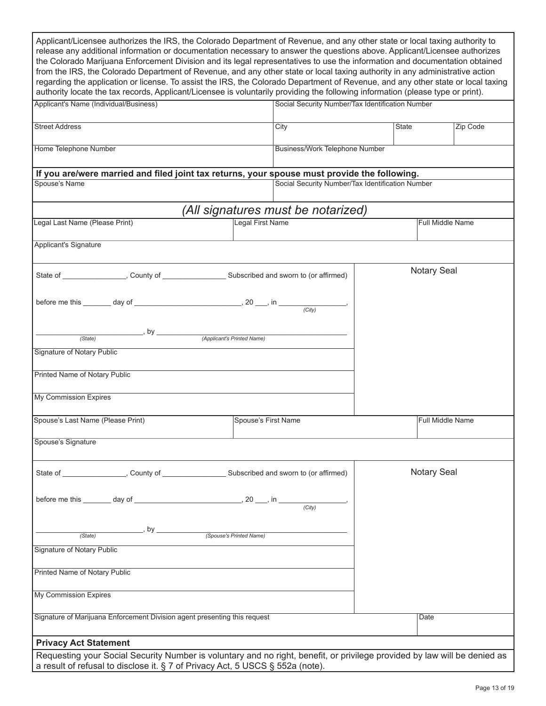| Applicant/Licensee authorizes the IRS, the Colorado Department of Revenue, and any other state or local taxing authority to<br>release any additional information or documentation necessary to answer the questions above. Applicant/Licensee authorizes<br>the Colorado Marijuana Enforcement Division and its legal representatives to use the information and documentation obtained<br>from the IRS, the Colorado Department of Revenue, and any other state or local taxing authority in any administrative action<br>regarding the application or license. To assist the IRS, the Colorado Department of Revenue, and any other state or local taxing<br>authority locate the tax records, Applicant/Licensee is voluntarily providing the following information (please type or print). |                     |                                                  |  |                    |  |
|-------------------------------------------------------------------------------------------------------------------------------------------------------------------------------------------------------------------------------------------------------------------------------------------------------------------------------------------------------------------------------------------------------------------------------------------------------------------------------------------------------------------------------------------------------------------------------------------------------------------------------------------------------------------------------------------------------------------------------------------------------------------------------------------------|---------------------|--------------------------------------------------|--|--------------------|--|
| Applicant's Name (Individual/Business)                                                                                                                                                                                                                                                                                                                                                                                                                                                                                                                                                                                                                                                                                                                                                          |                     | Social Security Number/Tax Identification Number |  |                    |  |
| <b>Street Address</b>                                                                                                                                                                                                                                                                                                                                                                                                                                                                                                                                                                                                                                                                                                                                                                           | City                | <b>State</b>                                     |  | Zip Code           |  |
| Home Telephone Number                                                                                                                                                                                                                                                                                                                                                                                                                                                                                                                                                                                                                                                                                                                                                                           |                     | Business/Work Telephone Number                   |  |                    |  |
| If you are/were married and filed joint tax returns, your spouse must provide the following.<br>Spouse's Name                                                                                                                                                                                                                                                                                                                                                                                                                                                                                                                                                                                                                                                                                   |                     | Social Security Number/Tax Identification Number |  |                    |  |
|                                                                                                                                                                                                                                                                                                                                                                                                                                                                                                                                                                                                                                                                                                                                                                                                 |                     |                                                  |  |                    |  |
|                                                                                                                                                                                                                                                                                                                                                                                                                                                                                                                                                                                                                                                                                                                                                                                                 |                     | (All signatures must be notarized)               |  |                    |  |
| Legal Last Name (Please Print)                                                                                                                                                                                                                                                                                                                                                                                                                                                                                                                                                                                                                                                                                                                                                                  | Legal First Name    |                                                  |  | Full Middle Name   |  |
| <b>Applicant's Signature</b>                                                                                                                                                                                                                                                                                                                                                                                                                                                                                                                                                                                                                                                                                                                                                                    |                     |                                                  |  |                    |  |
| State of __________________, County of ________________________Subscribed and sworn to (or affirmed)                                                                                                                                                                                                                                                                                                                                                                                                                                                                                                                                                                                                                                                                                            |                     |                                                  |  | <b>Notary Seal</b> |  |
|                                                                                                                                                                                                                                                                                                                                                                                                                                                                                                                                                                                                                                                                                                                                                                                                 |                     |                                                  |  |                    |  |
| (State)                                                                                                                                                                                                                                                                                                                                                                                                                                                                                                                                                                                                                                                                                                                                                                                         |                     |                                                  |  |                    |  |
| Signature of Notary Public                                                                                                                                                                                                                                                                                                                                                                                                                                                                                                                                                                                                                                                                                                                                                                      |                     |                                                  |  |                    |  |
| <b>Printed Name of Notary Public</b>                                                                                                                                                                                                                                                                                                                                                                                                                                                                                                                                                                                                                                                                                                                                                            |                     |                                                  |  |                    |  |
| My Commission Expires                                                                                                                                                                                                                                                                                                                                                                                                                                                                                                                                                                                                                                                                                                                                                                           |                     |                                                  |  |                    |  |
| Spouse's Last Name (Please Print)                                                                                                                                                                                                                                                                                                                                                                                                                                                                                                                                                                                                                                                                                                                                                               | Spouse's First Name |                                                  |  | Full Middle Name   |  |
| Spouse's Signature                                                                                                                                                                                                                                                                                                                                                                                                                                                                                                                                                                                                                                                                                                                                                                              |                     |                                                  |  |                    |  |
|                                                                                                                                                                                                                                                                                                                                                                                                                                                                                                                                                                                                                                                                                                                                                                                                 |                     |                                                  |  | <b>Notary Seal</b> |  |
|                                                                                                                                                                                                                                                                                                                                                                                                                                                                                                                                                                                                                                                                                                                                                                                                 |                     |                                                  |  |                    |  |
| (State)                                                                                                                                                                                                                                                                                                                                                                                                                                                                                                                                                                                                                                                                                                                                                                                         |                     |                                                  |  |                    |  |
| Signature of Notary Public                                                                                                                                                                                                                                                                                                                                                                                                                                                                                                                                                                                                                                                                                                                                                                      |                     |                                                  |  |                    |  |
| <b>Printed Name of Notary Public</b>                                                                                                                                                                                                                                                                                                                                                                                                                                                                                                                                                                                                                                                                                                                                                            |                     |                                                  |  |                    |  |
| My Commission Expires                                                                                                                                                                                                                                                                                                                                                                                                                                                                                                                                                                                                                                                                                                                                                                           |                     |                                                  |  |                    |  |
| Signature of Marijuana Enforcement Division agent presenting this request<br>Date                                                                                                                                                                                                                                                                                                                                                                                                                                                                                                                                                                                                                                                                                                               |                     |                                                  |  |                    |  |
| <b>Privacy Act Statement</b>                                                                                                                                                                                                                                                                                                                                                                                                                                                                                                                                                                                                                                                                                                                                                                    |                     |                                                  |  |                    |  |
| Requesting your Social Security Number is voluntary and no right, benefit, or privilege provided by law will be denied as<br>a result of refusal to disclose it. § 7 of Privacy Act, 5 USCS § 552a (note).                                                                                                                                                                                                                                                                                                                                                                                                                                                                                                                                                                                      |                     |                                                  |  |                    |  |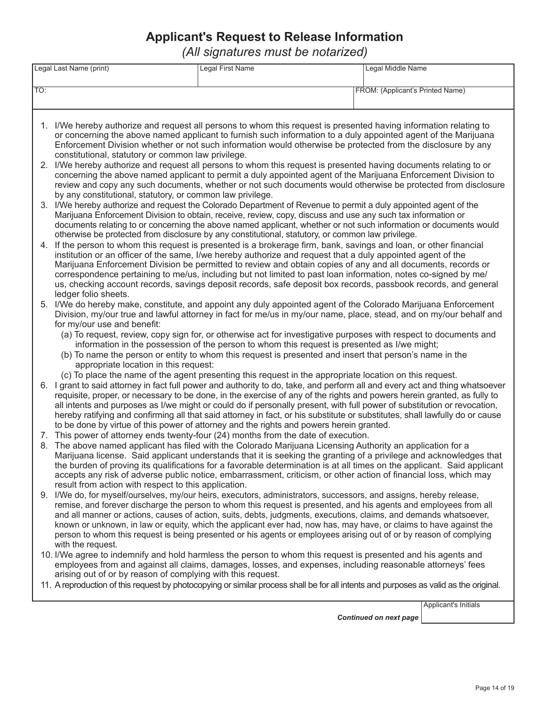#### **Applicant's Request to Release Information**

*(All signatures must be notarized)*

|     | Legal Last Name (print)                                                                                                                                                                                                                             | <b>Legal First Name</b>                                                                                                                                                                                                                      | Legal Middle Name                |  |  |  |  |  |  |
|-----|-----------------------------------------------------------------------------------------------------------------------------------------------------------------------------------------------------------------------------------------------------|----------------------------------------------------------------------------------------------------------------------------------------------------------------------------------------------------------------------------------------------|----------------------------------|--|--|--|--|--|--|
|     |                                                                                                                                                                                                                                                     |                                                                                                                                                                                                                                              |                                  |  |  |  |  |  |  |
| TO: |                                                                                                                                                                                                                                                     |                                                                                                                                                                                                                                              | FROM: (Applicant's Printed Name) |  |  |  |  |  |  |
|     |                                                                                                                                                                                                                                                     |                                                                                                                                                                                                                                              |                                  |  |  |  |  |  |  |
|     |                                                                                                                                                                                                                                                     |                                                                                                                                                                                                                                              |                                  |  |  |  |  |  |  |
|     |                                                                                                                                                                                                                                                     | 1. I/We hereby authorize and request all persons to whom this request is presented having information relating to                                                                                                                            |                                  |  |  |  |  |  |  |
|     |                                                                                                                                                                                                                                                     | or concerning the above named applicant to furnish such information to a duly appointed agent of the Marijuana                                                                                                                               |                                  |  |  |  |  |  |  |
|     |                                                                                                                                                                                                                                                     | Enforcement Division whether or not such information would otherwise be protected from the disclosure by any                                                                                                                                 |                                  |  |  |  |  |  |  |
|     | constitutional, statutory or common law privilege.                                                                                                                                                                                                  |                                                                                                                                                                                                                                              |                                  |  |  |  |  |  |  |
|     |                                                                                                                                                                                                                                                     | 2. I/We hereby authorize and request all persons to whom this request is presented having documents relating to or                                                                                                                           |                                  |  |  |  |  |  |  |
|     | concerning the above named applicant to permit a duly appointed agent of the Marijuana Enforcement Division to<br>review and copy any such documents, whether or not such documents would otherwise be protected from disclosure                    |                                                                                                                                                                                                                                              |                                  |  |  |  |  |  |  |
|     | by any constitutional, statutory, or common law privilege.                                                                                                                                                                                          |                                                                                                                                                                                                                                              |                                  |  |  |  |  |  |  |
|     |                                                                                                                                                                                                                                                     | 3. I/We hereby authorize and request the Colorado Department of Revenue to permit a duly appointed agent of the                                                                                                                              |                                  |  |  |  |  |  |  |
|     |                                                                                                                                                                                                                                                     | Marijuana Enforcement Division to obtain, receive, review, copy, discuss and use any such tax information or                                                                                                                                 |                                  |  |  |  |  |  |  |
|     |                                                                                                                                                                                                                                                     | documents relating to or concerning the above named applicant, whether or not such information or documents would                                                                                                                            |                                  |  |  |  |  |  |  |
|     |                                                                                                                                                                                                                                                     | otherwise be protected from disclosure by any constitutional, statutory, or common law privilege.<br>If the person to whom this request is presented is a brokerage firm, bank, savings and loan, or other financial                         |                                  |  |  |  |  |  |  |
| 4.  |                                                                                                                                                                                                                                                     | institution or an officer of the same, I/we hereby authorize and request that a duly appointed agent of the                                                                                                                                  |                                  |  |  |  |  |  |  |
|     |                                                                                                                                                                                                                                                     | Marijuana Enforcement Division be permitted to review and obtain copies of any and all documents, records or                                                                                                                                 |                                  |  |  |  |  |  |  |
|     |                                                                                                                                                                                                                                                     | correspondence pertaining to me/us, including but not limited to past loan information, notes co-signed by me/                                                                                                                               |                                  |  |  |  |  |  |  |
|     |                                                                                                                                                                                                                                                     | us, checking account records, savings deposit records, safe deposit box records, passbook records, and general                                                                                                                               |                                  |  |  |  |  |  |  |
|     | ledger folio sheets.                                                                                                                                                                                                                                |                                                                                                                                                                                                                                              |                                  |  |  |  |  |  |  |
|     |                                                                                                                                                                                                                                                     | 5. I/We do hereby make, constitute, and appoint any duly appointed agent of the Colorado Marijuana Enforcement                                                                                                                               |                                  |  |  |  |  |  |  |
|     | for my/our use and benefit:                                                                                                                                                                                                                         | Division, my/our true and lawful attorney in fact for me/us in my/our name, place, stead, and on my/our behalf and                                                                                                                           |                                  |  |  |  |  |  |  |
|     |                                                                                                                                                                                                                                                     | (a) To request, review, copy sign for, or otherwise act for investigative purposes with respect to documents and                                                                                                                             |                                  |  |  |  |  |  |  |
|     |                                                                                                                                                                                                                                                     | information in the possession of the person to whom this request is presented as I/we might;                                                                                                                                                 |                                  |  |  |  |  |  |  |
|     | (b) To name the person or entity to whom this request is presented and insert that person's name in the                                                                                                                                             |                                                                                                                                                                                                                                              |                                  |  |  |  |  |  |  |
|     | appropriate location in this request:                                                                                                                                                                                                               |                                                                                                                                                                                                                                              |                                  |  |  |  |  |  |  |
|     |                                                                                                                                                                                                                                                     | (c) To place the name of the agent presenting this request in the appropriate location on this request.                                                                                                                                      |                                  |  |  |  |  |  |  |
|     |                                                                                                                                                                                                                                                     | 6. I grant to said attorney in fact full power and authority to do, take, and perform all and every act and thing whatsoever                                                                                                                 |                                  |  |  |  |  |  |  |
|     | requisite, proper, or necessary to be done, in the exercise of any of the rights and powers herein granted, as fully to<br>all intents and purposes as I/we might or could do if personally present, with full power of substitution or revocation, |                                                                                                                                                                                                                                              |                                  |  |  |  |  |  |  |
|     | hereby ratifying and confirming all that said attorney in fact, or his substitute or substitutes, shall lawfully do or cause                                                                                                                        |                                                                                                                                                                                                                                              |                                  |  |  |  |  |  |  |
|     |                                                                                                                                                                                                                                                     | to be done by virtue of this power of attorney and the rights and powers herein granted.                                                                                                                                                     |                                  |  |  |  |  |  |  |
|     |                                                                                                                                                                                                                                                     | 7. This power of attorney ends twenty-four (24) months from the date of execution.                                                                                                                                                           |                                  |  |  |  |  |  |  |
|     |                                                                                                                                                                                                                                                     | 8. The above named applicant has filed with the Colorado Marijuana Licensing Authority an application for a                                                                                                                                  |                                  |  |  |  |  |  |  |
|     |                                                                                                                                                                                                                                                     | Marijuana license. Said applicant understands that it is seeking the granting of a privilege and acknowledges that                                                                                                                           |                                  |  |  |  |  |  |  |
|     |                                                                                                                                                                                                                                                     | the burden of proving its qualifications for a favorable determination is at all times on the applicant. Said applicant<br>accepts any risk of adverse public notice, embarrassment, criticism, or other action of financial loss, which may |                                  |  |  |  |  |  |  |
|     | result from action with respect to this application.                                                                                                                                                                                                |                                                                                                                                                                                                                                              |                                  |  |  |  |  |  |  |
|     |                                                                                                                                                                                                                                                     | 9. I/We do, for myself/ourselves, my/our heirs, executors, administrators, successors, and assigns, hereby release,                                                                                                                          |                                  |  |  |  |  |  |  |
|     |                                                                                                                                                                                                                                                     | remise, and forever discharge the person to whom this request is presented, and his agents and employees from all                                                                                                                            |                                  |  |  |  |  |  |  |
|     |                                                                                                                                                                                                                                                     | and all manner or actions, causes of action, suits, debts, judgments, executions, claims, and demands whatsoever,                                                                                                                            |                                  |  |  |  |  |  |  |
|     |                                                                                                                                                                                                                                                     | known or unknown, in law or equity, which the applicant ever had, now has, may have, or claims to have against the                                                                                                                           |                                  |  |  |  |  |  |  |
|     | with the request.                                                                                                                                                                                                                                   | person to whom this request is being presented or his agents or employees arising out of or by reason of complying                                                                                                                           |                                  |  |  |  |  |  |  |
|     |                                                                                                                                                                                                                                                     | 10. I/We agree to indemnify and hold harmless the person to whom this request is presented and his agents and                                                                                                                                |                                  |  |  |  |  |  |  |
|     |                                                                                                                                                                                                                                                     | employees from and against all claims, damages, losses, and expenses, including reasonable attorneys' fees                                                                                                                                   |                                  |  |  |  |  |  |  |
|     | arising out of or by reason of complying with this request.                                                                                                                                                                                         |                                                                                                                                                                                                                                              |                                  |  |  |  |  |  |  |
|     |                                                                                                                                                                                                                                                     | 11. A reproduction of this request by photocopying or similar process shall be for all intents and purposes as valid as the original.                                                                                                        |                                  |  |  |  |  |  |  |
|     |                                                                                                                                                                                                                                                     |                                                                                                                                                                                                                                              |                                  |  |  |  |  |  |  |
|     |                                                                                                                                                                                                                                                     |                                                                                                                                                                                                                                              | Applicant's Initials             |  |  |  |  |  |  |
|     |                                                                                                                                                                                                                                                     |                                                                                                                                                                                                                                              | <b>Continued on next page</b>    |  |  |  |  |  |  |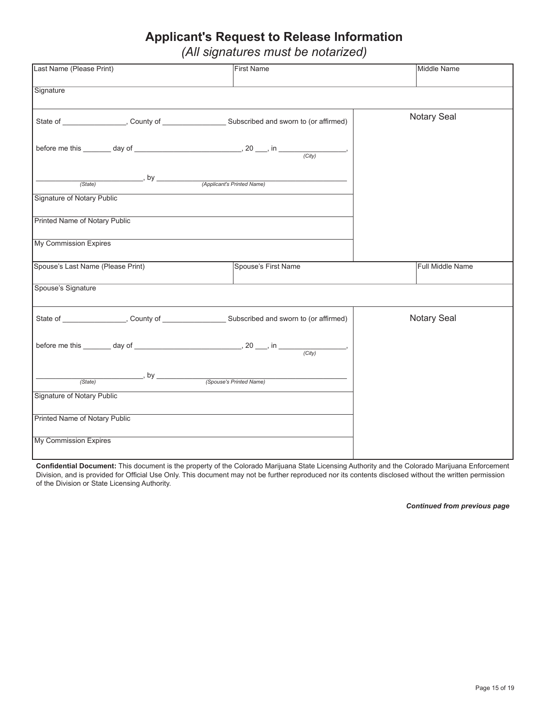#### **Applicant's Request to Release Information**

*(All signatures must be notarized)*

| Last Name (Please Print)          | <b>First Name</b>                                                                                          | Middle Name      |
|-----------------------------------|------------------------------------------------------------------------------------------------------------|------------------|
|                                   |                                                                                                            |                  |
| Signature                         |                                                                                                            |                  |
|                                   | State of _____________________, County of ___________________________Subscribed and sworn to (or affirmed) | Notary Seal      |
|                                   | before me this $\frac{1}{(City)}$ day of $\frac{1}{(City)}$ .                                              |                  |
|                                   |                                                                                                            |                  |
| Signature of Notary Public        |                                                                                                            |                  |
| Printed Name of Notary Public     |                                                                                                            |                  |
| My Commission Expires             |                                                                                                            |                  |
| Spouse's Last Name (Please Print) | Spouse's First Name                                                                                        | Full Middle Name |
| Spouse's Signature                |                                                                                                            |                  |
|                                   | State of ____________________, County of __________________________Subscribed and sworn to (or affirmed)   | Notary Seal      |
|                                   | before me this $\frac{1}{(City)}$ day of $\frac{1}{(City)}$ .                                              |                  |
|                                   |                                                                                                            |                  |
| <b>Signature of Notary Public</b> |                                                                                                            |                  |
| Printed Name of Notary Public     |                                                                                                            |                  |
| My Commission Expires             |                                                                                                            |                  |

**Confidential Document:** This document is the property of the Colorado Marijuana State Licensing Authority and the Colorado Marijuana Enforcement Division, and is provided for Official Use Only. This document may not be further reproduced nor its contents disclosed without the written permission of the Division or State Licensing Authority.

*Continued from previous page*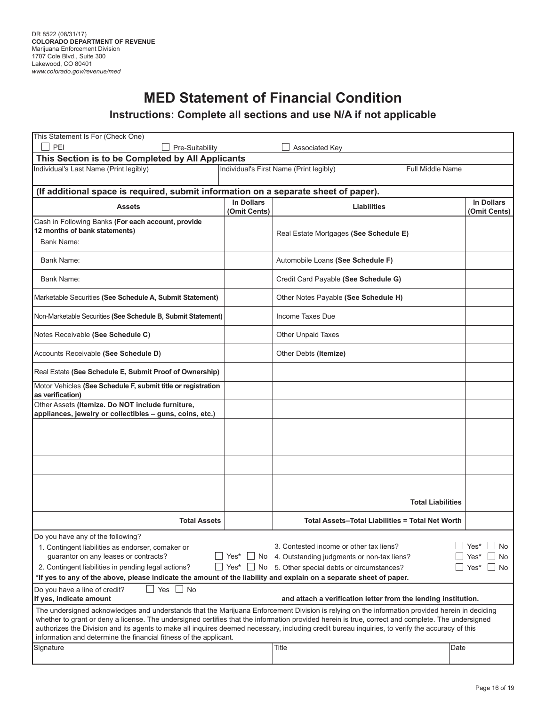# **MED Statement of Financial Condition**

#### **Instructions: Complete all sections and use N/A if not applicable**

| This Statement Is For (Check One)                                                                                                                 |                     |                                   |                                                                                                                                                                                      |                          |                                   |
|---------------------------------------------------------------------------------------------------------------------------------------------------|---------------------|-----------------------------------|--------------------------------------------------------------------------------------------------------------------------------------------------------------------------------------|--------------------------|-----------------------------------|
| PEI                                                                                                                                               | Pre-Suitability     |                                   | Associated Key                                                                                                                                                                       |                          |                                   |
| This Section is to be Completed by All Applicants                                                                                                 |                     |                                   |                                                                                                                                                                                      |                          |                                   |
| Individual's Last Name (Print legibly)                                                                                                            |                     |                                   | Individual's First Name (Print legibly)                                                                                                                                              | <b>Full Middle Name</b>  |                                   |
| (If additional space is required, submit information on a separate sheet of paper).                                                               |                     |                                   |                                                                                                                                                                                      |                          |                                   |
| <b>Assets</b>                                                                                                                                     |                     | <b>In Dollars</b><br>(Omit Cents) | <b>Liabilities</b>                                                                                                                                                                   |                          | <b>In Dollars</b><br>(Omit Cents) |
| Cash in Following Banks (For each account, provide                                                                                                |                     |                                   |                                                                                                                                                                                      |                          |                                   |
| 12 months of bank statements)                                                                                                                     |                     |                                   | Real Estate Mortgages (See Schedule E)                                                                                                                                               |                          |                                   |
| Bank Name:                                                                                                                                        |                     |                                   |                                                                                                                                                                                      |                          |                                   |
| Bank Name:                                                                                                                                        |                     |                                   | Automobile Loans (See Schedule F)                                                                                                                                                    |                          |                                   |
| Bank Name:                                                                                                                                        |                     |                                   | Credit Card Payable (See Schedule G)                                                                                                                                                 |                          |                                   |
| Marketable Securities (See Schedule A, Submit Statement)                                                                                          |                     |                                   | Other Notes Payable (See Schedule H)                                                                                                                                                 |                          |                                   |
| Non-Marketable Securities (See Schedule B, Submit Statement)                                                                                      |                     |                                   | Income Taxes Due                                                                                                                                                                     |                          |                                   |
| Notes Receivable (See Schedule C)                                                                                                                 |                     |                                   | Other Unpaid Taxes                                                                                                                                                                   |                          |                                   |
| Accounts Receivable (See Schedule D)                                                                                                              |                     |                                   | Other Debts (Itemize)                                                                                                                                                                |                          |                                   |
| Real Estate (See Schedule E, Submit Proof of Ownership)                                                                                           |                     |                                   |                                                                                                                                                                                      |                          |                                   |
| Motor Vehicles (See Schedule F, submit title or registration<br>as verification)                                                                  |                     |                                   |                                                                                                                                                                                      |                          |                                   |
| Other Assets (Itemize. Do NOT include furniture,                                                                                                  |                     |                                   |                                                                                                                                                                                      |                          |                                   |
| appliances, jewelry or collectibles - guns, coins, etc.)                                                                                          |                     |                                   |                                                                                                                                                                                      |                          |                                   |
|                                                                                                                                                   |                     |                                   |                                                                                                                                                                                      |                          |                                   |
|                                                                                                                                                   |                     |                                   |                                                                                                                                                                                      |                          |                                   |
|                                                                                                                                                   |                     |                                   |                                                                                                                                                                                      |                          |                                   |
|                                                                                                                                                   |                     |                                   |                                                                                                                                                                                      |                          |                                   |
|                                                                                                                                                   |                     |                                   |                                                                                                                                                                                      | <b>Total Liabilities</b> |                                   |
|                                                                                                                                                   |                     |                                   |                                                                                                                                                                                      |                          |                                   |
|                                                                                                                                                   | <b>Total Assets</b> |                                   | <b>Total Assets-Total Liabilities = Total Net Worth</b>                                                                                                                              |                          |                                   |
| Do you have any of the following?                                                                                                                 |                     |                                   |                                                                                                                                                                                      |                          |                                   |
| 1. Contingent liabilities as endorser, comaker or                                                                                                 |                     |                                   | 3. Contested income or other tax liens?                                                                                                                                              |                          | Yes*<br>No                        |
| guarantor on any leases or contracts?<br>$\sqcup$ Yes*<br>No 4. Outstanding judgments or non-tax liens?<br>$\perp$<br>Yes*<br>No                  |                     |                                   |                                                                                                                                                                                      |                          |                                   |
| 2. Contingent liabilities in pending legal actions?                                                                                               |                     |                                   | $\Box$ Yes* $\Box$ No 5. Other special debts or circumstances?<br>*If yes to any of the above, please indicate the amount of the liability and explain on a separate sheet of paper. |                          | Yes*<br>No                        |
| Do you have a line of credit?                                                                                                                     | ⊿ No                |                                   |                                                                                                                                                                                      |                          |                                   |
| Yes<br>If yes, indicate amount<br>and attach a verification letter from the lending institution.                                                  |                     |                                   |                                                                                                                                                                                      |                          |                                   |
| The undersigned acknowledges and understands that the Marijuana Enforcement Division is relying on the information provided herein in deciding    |                     |                                   |                                                                                                                                                                                      |                          |                                   |
| whether to grant or deny a license. The undersigned certifies that the information provided herein is true, correct and complete. The undersigned |                     |                                   |                                                                                                                                                                                      |                          |                                   |
| information and determine the financial fitness of the applicant.                                                                                 |                     |                                   | authorizes the Division and its agents to make all inquires deemed necessary, including credit bureau inquiries, to verify the accuracy of this                                      |                          |                                   |
| Signature                                                                                                                                         |                     |                                   | Title                                                                                                                                                                                | Date                     |                                   |
|                                                                                                                                                   |                     |                                   |                                                                                                                                                                                      |                          |                                   |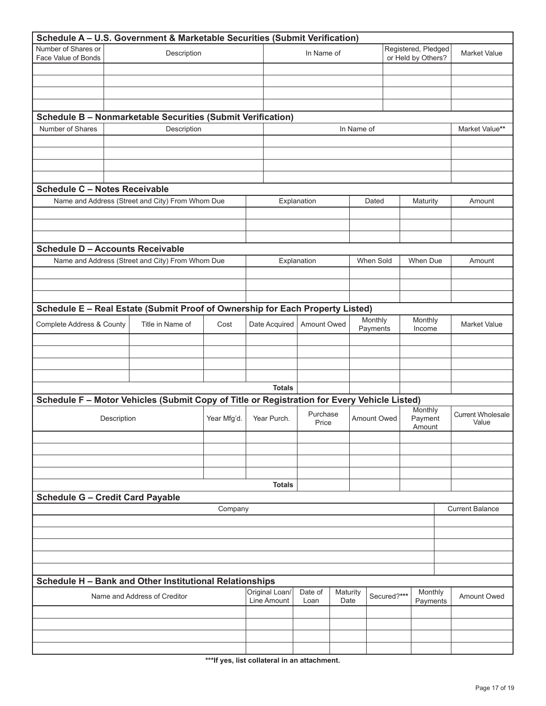|                                            |               | Schedule A - U.S. Government & Marketable Securities (Submit Verification)                  |             |            |                |                   |          |                                           |                     |                              |                                   |
|--------------------------------------------|---------------|---------------------------------------------------------------------------------------------|-------------|------------|----------------|-------------------|----------|-------------------------------------------|---------------------|------------------------------|-----------------------------------|
| Number of Shares or<br>Face Value of Bonds | Description   |                                                                                             |             | In Name of |                |                   |          | Registered, Pledged<br>or Held by Others? | <b>Market Value</b> |                              |                                   |
|                                            |               |                                                                                             |             |            |                |                   |          |                                           |                     |                              |                                   |
|                                            |               |                                                                                             |             |            |                |                   |          |                                           |                     |                              |                                   |
|                                            |               |                                                                                             |             |            |                |                   |          |                                           |                     |                              |                                   |
|                                            |               | Schedule B - Nonmarketable Securities (Submit Verification)                                 |             |            |                |                   |          |                                           |                     |                              |                                   |
| Number of Shares                           |               | Description                                                                                 |             |            |                |                   |          | In Name of                                |                     |                              | Market Value**                    |
|                                            |               |                                                                                             |             |            |                |                   |          |                                           |                     |                              |                                   |
|                                            |               |                                                                                             |             |            |                |                   |          |                                           |                     |                              |                                   |
|                                            |               |                                                                                             |             |            |                |                   |          |                                           |                     |                              |                                   |
|                                            |               |                                                                                             |             |            |                |                   |          |                                           |                     |                              |                                   |
| <b>Schedule C - Notes Receivable</b>       |               | Name and Address (Street and City) From Whom Due                                            |             |            |                | Explanation       |          | Dated                                     |                     | Maturity                     | Amount                            |
|                                            |               |                                                                                             |             |            |                |                   |          |                                           |                     |                              |                                   |
|                                            |               |                                                                                             |             |            |                |                   |          |                                           |                     |                              |                                   |
|                                            |               |                                                                                             |             |            |                |                   |          |                                           |                     |                              |                                   |
| <b>Schedule D - Accounts Receivable</b>    |               |                                                                                             |             |            |                |                   |          |                                           |                     |                              |                                   |
|                                            |               | Name and Address (Street and City) From Whom Due                                            |             |            | Explanation    |                   |          | When Sold                                 |                     | When Due                     | Amount                            |
|                                            |               |                                                                                             |             |            |                |                   |          |                                           |                     |                              |                                   |
|                                            |               |                                                                                             |             |            |                |                   |          |                                           |                     |                              |                                   |
|                                            |               | Schedule E - Real Estate (Submit Proof of Ownership for Each Property Listed)               |             |            |                |                   |          |                                           |                     |                              |                                   |
| Complete Address & County                  |               | Title in Name of                                                                            | Cost        |            | Date Acquired  | Amount Owed       |          | Monthly<br>Payments                       |                     | Monthly<br>Income            | <b>Market Value</b>               |
|                                            |               |                                                                                             |             |            |                |                   |          |                                           |                     |                              |                                   |
|                                            |               |                                                                                             |             |            |                |                   |          |                                           |                     |                              |                                   |
|                                            |               |                                                                                             |             |            |                |                   |          |                                           |                     |                              |                                   |
| <b>Totals</b>                              |               |                                                                                             |             |            |                |                   |          |                                           |                     |                              |                                   |
|                                            |               | Schedule F - Motor Vehicles (Submit Copy of Title or Registration for Every Vehicle Listed) |             |            |                |                   |          |                                           |                     |                              |                                   |
|                                            | Description   |                                                                                             | Year Mfg'd. |            | Year Purch.    | Purchase<br>Price |          | Amount Owed                               |                     | Monthly<br>Payment<br>Amount | <b>Current Wholesale</b><br>Value |
|                                            |               |                                                                                             |             |            |                |                   |          |                                           |                     |                              |                                   |
|                                            |               |                                                                                             |             |            |                |                   |          |                                           |                     |                              |                                   |
|                                            |               |                                                                                             |             |            |                |                   |          |                                           |                     |                              |                                   |
|                                            | <b>Totals</b> |                                                                                             |             |            |                |                   |          |                                           |                     |                              |                                   |
| <b>Schedule G - Credit Card Payable</b>    |               |                                                                                             |             |            |                |                   |          |                                           |                     |                              |                                   |
|                                            |               |                                                                                             | Company     |            |                |                   |          |                                           |                     |                              | <b>Current Balance</b>            |
|                                            |               |                                                                                             |             |            |                |                   |          |                                           |                     |                              |                                   |
|                                            |               |                                                                                             |             |            |                |                   |          |                                           |                     |                              |                                   |
|                                            |               |                                                                                             |             |            |                |                   |          |                                           |                     |                              |                                   |
|                                            |               |                                                                                             |             |            |                |                   |          |                                           |                     |                              |                                   |
|                                            |               | Schedule H - Bank and Other Institutional Relationships                                     |             |            |                |                   |          |                                           |                     |                              |                                   |
|                                            |               | Name and Address of Creditor                                                                |             |            | Original Loan/ | Date of           | Maturity |                                           | Secured?***         | Monthly                      |                                   |
|                                            |               |                                                                                             |             |            | Line Amount    | Loan              | Date     |                                           |                     | Payments                     | Amount Owed                       |
|                                            |               |                                                                                             |             |            |                |                   |          |                                           |                     |                              |                                   |
|                                            |               |                                                                                             |             |            |                |                   |          |                                           |                     |                              |                                   |
|                                            |               |                                                                                             |             |            |                |                   |          |                                           |                     |                              |                                   |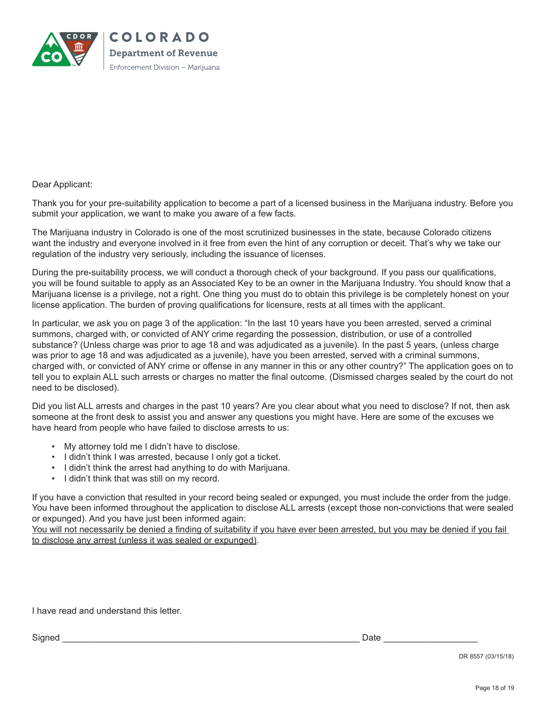

#### Dear Applicant:

Thank you for your pre-suitability application to become a part of a licensed business in the Marijuana industry. Before you submit your application, we want to make you aware of a few facts.

The Marijuana industry in Colorado is one of the most scrutinized businesses in the state, because Colorado citizens want the industry and everyone involved in it free from even the hint of any corruption or deceit. That's why we take our regulation of the industry very seriously, including the issuance of licenses.

During the pre-suitability process, we will conduct a thorough check of your background. If you pass our qualifications, you will be found suitable to apply as an Associated Key to be an owner in the Marijuana Industry. You should know that a Marijuana license is a privilege, not a right. One thing you must do to obtain this privilege is be completely honest on your license application. The burden of proving qualifications for licensure, rests at all times with the applicant.

In particular, we ask you on page 3 of the application: "In the last 10 years have you been arrested, served a criminal summons, charged with, or convicted of ANY crime regarding the possession, distribution, or use of a controlled substance? (Unless charge was prior to age 18 and was adjudicated as a juvenile). In the past 5 years, (unless charge was prior to age 18 and was adjudicated as a juvenile), have you been arrested, served with a criminal summons, charged with, or convicted of ANY crime or offense in any manner in this or any other country?" The application goes on to tell you to explain ALL such arrests or charges no matter the final outcome. (Dismissed charges sealed by the court do not need to be disclosed).

Did you list ALL arrests and charges in the past 10 years? Are you clear about what you need to disclose? If not, then ask someone at the front desk to assist you and answer any questions you might have. Here are some of the excuses we have heard from people who have failed to disclose arrests to us:

- My attorney told me I didn't have to disclose.
- I didn't think I was arrested, because I only got a ticket.
- I didn't think the arrest had anything to do with Marijuana.
- I didn't think that was still on my record.

If you have a conviction that resulted in your record being sealed or expunged, you must include the order from the judge. You have been informed throughout the application to disclose ALL arrests (except those non-convictions that were sealed or expunged). And you have just been informed again:

You will not necessarily be denied a finding of suitability if you have ever been arrested, but you may be denied if you fail to disclose any arrest (unless it was sealed or expunged).

I have read and understand this letter.

Signed \_\_\_\_\_\_\_\_\_\_\_\_\_\_\_\_\_\_\_\_\_\_\_\_\_\_\_\_\_\_\_\_\_\_\_\_\_\_\_\_\_\_\_\_\_\_\_\_\_\_\_\_\_\_\_\_\_\_\_\_ Date \_\_\_\_\_\_\_\_\_\_\_\_\_\_\_\_\_\_\_

DR 8557 (03/15/18)